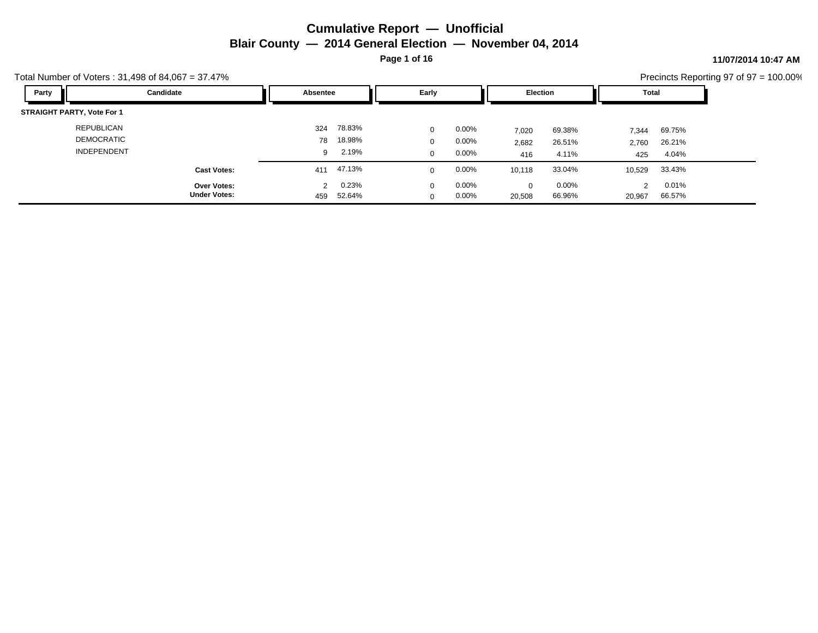**Page 1 of 16**

### **11/07/2014 10:47 AM**

| Total Number of Voters: $31,498$ of $84,067 = 37.47\%$ |                                    |                      |                 |                      |                   |             |                    |        |                 | Precincts Reporting 97 of 97 = 100.00% |
|--------------------------------------------------------|------------------------------------|----------------------|-----------------|----------------------|-------------------|-------------|--------------------|--------|-----------------|----------------------------------------|
| Party                                                  | Candidate                          | Absentee             |                 | Early                |                   | Election    |                    | Total  |                 |                                        |
| <b>STRAIGHT PARTY, Vote For 1</b>                      |                                    |                      |                 |                      |                   |             |                    |        |                 |                                        |
| <b>REPUBLICAN</b>                                      |                                    | 324                  | 78.83%          | $\mathbf{0}$         | $0.00\%$          | 7,020       | 69.38%             | 7,344  | 69.75%          |                                        |
| <b>DEMOCRATIC</b>                                      |                                    | 78                   | 18.98%          | $\mathbf{0}$         | $0.00\%$          | 2,682       | 26.51%             | 2,760  | 26.21%          |                                        |
| <b>INDEPENDENT</b>                                     |                                    | 9                    | 2.19%           | $\mathbf{0}$         | $0.00\%$          | 416         | 4.11%              | 425    | 4.04%           |                                        |
|                                                        | <b>Cast Votes:</b>                 | 411                  | 47.13%          | $\Omega$             | $0.00\%$          | 10,118      | 33.04%             | 10,529 | 33.43%          |                                        |
|                                                        | Over Votes:<br><b>Under Votes:</b> | $\mathcal{P}$<br>459 | 0.23%<br>52.64% | $\Omega$<br>$\Omega$ | $0.00\%$<br>0.00% | 0<br>20,508 | $0.00\%$<br>66.96% | 20,967 | 0.01%<br>66.57% |                                        |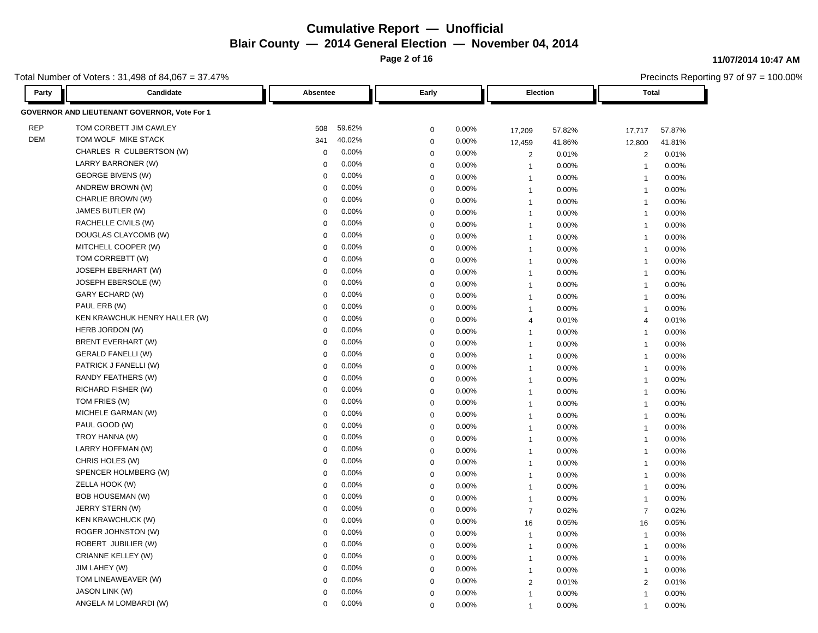**Page 2 of 16**

**11/07/2014 10:47 AM**

Precincts Reporting 97 of 97 = 100.00%

| Party      | Candidate                                    | Absentee    |        | Early       |          | Election       |          | <b>Total</b>   |        |
|------------|----------------------------------------------|-------------|--------|-------------|----------|----------------|----------|----------------|--------|
|            | GOVERNOR AND LIEUTENANT GOVERNOR, Vote For 1 |             |        |             |          |                |          |                |        |
| <b>REP</b> | TOM CORBETT JIM CAWLEY                       | 508         | 59.62% | $\mathbf 0$ | 0.00%    | 17,209         | 57.82%   | 17,717         | 57.87% |
| <b>DEM</b> | TOM WOLF MIKE STACK                          | 341         | 40.02% | $\mathsf 0$ | 0.00%    | 12,459         | 41.86%   | 12,800         | 41.81% |
|            | CHARLES R CULBERTSON (W)                     | $\mathbf 0$ | 0.00%  | $\mathsf 0$ | 0.00%    | $\overline{2}$ | 0.01%    | $\overline{2}$ | 0.01%  |
|            | LARRY BARRONER (W)                           | $\Omega$    | 0.00%  | $\mathbf 0$ | 0.00%    | $\overline{1}$ | 0.00%    | $\overline{1}$ | 0.00%  |
|            | <b>GEORGE BIVENS (W)</b>                     | $\mathbf 0$ | 0.00%  | 0           | 0.00%    | $\mathbf{1}$   | 0.00%    | $\overline{1}$ | 0.00%  |
|            | ANDREW BROWN (W)                             | $\Omega$    | 0.00%  | $\mathbf 0$ | 0.00%    | $\mathbf{1}$   | 0.00%    | $\overline{1}$ | 0.00%  |
|            | CHARLIE BROWN (W)                            | $\Omega$    | 0.00%  | $\mathbf 0$ | 0.00%    | $\mathbf{1}$   | 0.00%    | $\mathbf{1}$   | 0.00%  |
|            | JAMES BUTLER (W)                             | $\Omega$    | 0.00%  | $\Omega$    | $0.00\%$ | $\mathbf{1}$   | 0.00%    | $\overline{1}$ | 0.00%  |
|            | RACHELLE CIVILS (W)                          | $\mathbf 0$ | 0.00%  | $\mathbf 0$ | 0.00%    | $\mathbf{1}$   | 0.00%    | $\overline{1}$ | 0.00%  |
|            | DOUGLAS CLAYCOMB (W)                         | $\Omega$    | 0.00%  | $\mathsf 0$ | 0.00%    | $\mathbf{1}$   | 0.00%    | $\mathbf{1}$   | 0.00%  |
|            | MITCHELL COOPER (W)                          | $\Omega$    | 0.00%  | $\mathbf 0$ | 0.00%    | $\mathbf{1}$   | 0.00%    | $\overline{1}$ | 0.00%  |
|            | TOM CORREBTT (W)                             | $\mathbf 0$ | 0.00%  | $\mathbf 0$ | 0.00%    | $\mathbf{1}$   | 0.00%    | $\overline{1}$ | 0.00%  |
|            | <b>JOSEPH EBERHART (W)</b>                   | $\Omega$    | 0.00%  | $\mathsf 0$ | 0.00%    | $\mathbf{1}$   | 0.00%    | $\overline{1}$ | 0.00%  |
|            | JOSEPH EBERSOLE (W)                          | $\Omega$    | 0.00%  | $\mathbf 0$ | 0.00%    | $\mathbf{1}$   | 0.00%    | $\overline{1}$ | 0.00%  |
|            | GARY ECHARD (W)                              | $\mathbf 0$ | 0.00%  | $\mathbf 0$ | 0.00%    | $\mathbf{1}$   | 0.00%    | $\overline{1}$ | 0.00%  |
|            | PAUL ERB (W)                                 | $\Omega$    | 0.00%  | $\mathsf 0$ | 0.00%    | $\mathbf{1}$   | 0.00%    | $\overline{1}$ | 0.00%  |
|            | KEN KRAWCHUK HENRY HALLER (W)                | $\Omega$    | 0.00%  | $\mathbf 0$ | 0.00%    | 4              | 0.01%    | $\overline{4}$ | 0.01%  |
|            | HERB JORDON (W)                              | $\Omega$    | 0.00%  | $\mathbf 0$ | 0.00%    | $\mathbf{1}$   | 0.00%    | $\overline{1}$ | 0.00%  |
|            | <b>BRENT EVERHART (W)</b>                    | $\Omega$    | 0.00%  | $\mathbf 0$ | 0.00%    | $\mathbf{1}$   | 0.00%    | $\mathbf{1}$   | 0.00%  |
|            | <b>GERALD FANELLI (W)</b>                    | $\Omega$    | 0.00%  | $\mathsf 0$ | 0.00%    | $\overline{1}$ | 0.00%    | $\overline{1}$ | 0.00%  |
|            | PATRICK J FANELLI (W)                        | $\Omega$    | 0.00%  | 0           | 0.00%    | $\mathbf{1}$   | 0.00%    | $\overline{1}$ | 0.00%  |
|            | RANDY FEATHERS (W)                           | $\Omega$    | 0.00%  | $\mathsf 0$ | 0.00%    | $\mathbf{1}$   | 0.00%    | $\overline{1}$ | 0.00%  |
|            | RICHARD FISHER (W)                           | $\Omega$    | 0.00%  | $\mathbf 0$ | 0.00%    | $\mathbf{1}$   | 0.00%    | $\overline{1}$ | 0.00%  |
|            | TOM FRIES (W)                                | $\Omega$    | 0.00%  | $\mathbf 0$ | 0.00%    | $\mathbf{1}$   | 0.00%    | $\overline{1}$ | 0.00%  |
|            | MICHELE GARMAN (W)                           | $\Omega$    | 0.00%  | $\mathbf 0$ | 0.00%    | $\mathbf{1}$   | 0.00%    | $\overline{1}$ | 0.00%  |
|            | PAUL GOOD (W)                                | $\mathbf 0$ | 0.00%  | $\mathbf 0$ | 0.00%    | $\mathbf{1}$   | 0.00%    | $\overline{1}$ | 0.00%  |
|            | TROY HANNA (W)                               | $\Omega$    | 0.00%  | $\mathbf 0$ | 0.00%    | $\mathbf{1}$   | 0.00%    | $\overline{1}$ | 0.00%  |
|            | LARRY HOFFMAN (W)                            | $\Omega$    | 0.00%  | 0           | $0.00\%$ | $\overline{1}$ | 0.00%    | $\overline{1}$ | 0.00%  |
|            | CHRIS HOLES (W)                              | $\mathbf 0$ | 0.00%  | $\mathbf 0$ | 0.00%    | $\mathbf{1}$   | 0.00%    | $\overline{1}$ | 0.00%  |
|            | SPENCER HOLMBERG (W)                         | $\Omega$    | 0.00%  | $\mathbf 0$ | 0.00%    | $\mathbf{1}$   | 0.00%    | $\overline{1}$ | 0.00%  |
|            | ZELLA HOOK (W)                               | $\Omega$    | 0.00%  | $\mathbf 0$ | 0.00%    | $\overline{1}$ | 0.00%    | $\overline{1}$ | 0.00%  |
|            | <b>BOB HOUSEMAN (W)</b>                      | $\Omega$    | 0.00%  | $\mathsf 0$ | 0.00%    | $\mathbf{1}$   | $0.00\%$ | $\overline{1}$ | 0.00%  |
|            | JERRY STERN (W)                              | $\Omega$    | 0.00%  | $\mathbf 0$ | 0.00%    | $\overline{7}$ | 0.02%    | $\overline{7}$ | 0.02%  |
|            | <b>KEN KRAWCHUCK (W)</b>                     | $\mathbf 0$ | 0.00%  | $\mathbf 0$ | 0.00%    | 16             | 0.05%    | 16             | 0.05%  |
|            | <b>ROGER JOHNSTON (W)</b>                    | $\Omega$    | 0.00%  | $\mathsf 0$ | 0.00%    | $\mathbf{1}$   | 0.00%    | $\overline{1}$ | 0.00%  |
|            | ROBERT JUBILIER (W)                          | $\Omega$    | 0.00%  | $\mathbf 0$ | 0.00%    | $\mathbf{1}$   | 0.00%    | $\mathbf{1}$   | 0.00%  |
|            | <b>CRIANNE KELLEY (W)</b>                    | $\mathbf 0$ | 0.00%  | $\mathbf 0$ | 0.00%    | $\mathbf{1}$   | 0.00%    | $\overline{1}$ | 0.00%  |
|            | JIM LAHEY (W)                                | $\Omega$    | 0.00%  | $\mathsf 0$ | 0.00%    | $\mathbf{1}$   | 0.00%    | $\overline{1}$ | 0.00%  |
|            | TOM LINEAWEAVER (W)                          | $\Omega$    | 0.00%  | 0           | 0.00%    | $\overline{2}$ | 0.01%    | 2              | 0.01%  |
|            | <b>JASON LINK (W)</b>                        | $\Omega$    | 0.00%  | $\Omega$    | 0.00%    | $\overline{1}$ | 0.00%    | $\overline{1}$ | 0.00%  |
|            | ANGELA M LOMBARDI (W)                        | $\Omega$    | 0.00%  | $\Omega$    | 0.00%    | $\overline{1}$ | 0.00%    | 1              | 0.00%  |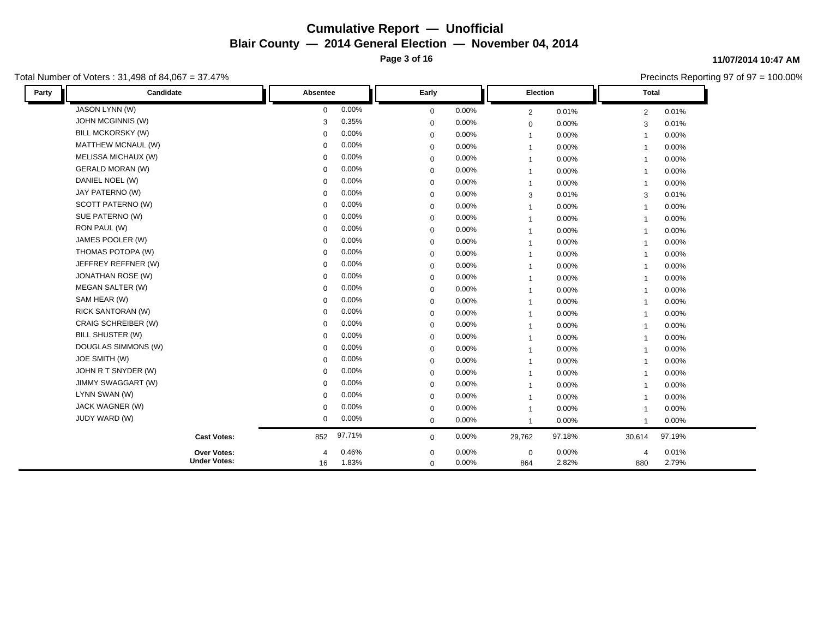**Page 3 of 16**

### Total Number of Voters : 31,498 of 84,067 = 37.47%

#### **11/07/2014 10:47 AM**

| Party | Candidate                | Absentee       |          | Early       |          |              | Election | <b>Total</b>          |          |
|-------|--------------------------|----------------|----------|-------------|----------|--------------|----------|-----------------------|----------|
|       | JASON LYNN (W)           | $\mathbf 0$    | 0.00%    | $\mathbf 0$ | 0.00%    | 2            | 0.01%    | $\overline{2}$        | 0.01%    |
|       | <b>JOHN MCGINNIS (W)</b> | 3              | 0.35%    | $\mathbf 0$ | 0.00%    | $\mathbf 0$  | 0.00%    | 3                     | 0.01%    |
|       | <b>BILL MCKORSKY (W)</b> | $\Omega$       | 0.00%    | $\mathbf 0$ | 0.00%    | $\mathbf{1}$ | 0.00%    | $\overline{1}$        | $0.00\%$ |
|       | MATTHEW MCNAUL (W)       | $\Omega$       | 0.00%    | 0           | 0.00%    | $\mathbf{1}$ | 0.00%    | $\mathbf{1}$          | $0.00\%$ |
|       | MELISSA MICHAUX (W)      | $\Omega$       | 0.00%    | $\mathbf 0$ | 0.00%    | $\mathbf{1}$ | 0.00%    | $\mathbf{1}$          | $0.00\%$ |
|       | <b>GERALD MORAN (W)</b>  | $\Omega$       | 0.00%    | $\mathbf 0$ | 0.00%    | $\mathbf{1}$ | 0.00%    | $\overline{1}$        | $0.00\%$ |
|       | DANIEL NOEL (W)          | $\Omega$       | 0.00%    | $\mathbf 0$ | 0.00%    | $\mathbf{1}$ | 0.00%    | $\mathbf 1$           | 0.00%    |
|       | JAY PATERNO (W)          | $\Omega$       | 0.00%    | $\mathbf 0$ | 0.00%    | 3            | 0.01%    | 3                     | 0.01%    |
|       | SCOTT PATERNO (W)        | $\Omega$       | 0.00%    | $\mathbf 0$ | 0.00%    | $\mathbf{1}$ | 0.00%    | $\overline{1}$        | $0.00\%$ |
|       | SUE PATERNO (W)          | $\Omega$       | $0.00\%$ | $\mathbf 0$ | 0.00%    | $\mathbf{1}$ | 0.00%    | $\mathbf 1$           | 0.00%    |
|       | RON PAUL (W)             | $\Omega$       | 0.00%    | $\mathbf 0$ | 0.00%    | $\mathbf{1}$ | 0.00%    | $\mathbf 1$           | 0.00%    |
|       | JAMES POOLER (W)         | $\Omega$       | 0.00%    | $\mathbf 0$ | 0.00%    | $\mathbf{1}$ | 0.00%    | $\mathbf{1}$          | 0.00%    |
|       | THOMAS POTOPA (W)        | $\Omega$       | 0.00%    | $\mathbf 0$ | 0.00%    | $\mathbf{1}$ | 0.00%    | $\mathbf{1}$          | $0.00\%$ |
|       | JEFFREY REFFNER (W)      | $\Omega$       | 0.00%    | $\mathbf 0$ | 0.00%    | $\mathbf{1}$ | 0.00%    | $\mathbf{1}$          | $0.00\%$ |
|       | JONATHAN ROSE (W)        | $\Omega$       | 0.00%    | $\mathbf 0$ | 0.00%    | $\mathbf{1}$ | 0.00%    | $\overline{1}$        | 0.00%    |
|       | <b>MEGAN SALTER (W)</b>  | $\Omega$       | 0.00%    | $\mathbf 0$ | 0.00%    | $\mathbf{1}$ | 0.00%    | $\overline{1}$        | 0.00%    |
|       | SAM HEAR (W)             | $\Omega$       | 0.00%    | 0           | 0.00%    | $\mathbf{1}$ | 0.00%    | $\mathbf{1}$          | $0.00\%$ |
|       | <b>RICK SANTORAN (W)</b> | $\Omega$       | 0.00%    | 0           | 0.00%    | $\mathbf{1}$ | 0.00%    | $\overline{1}$        | 0.00%    |
|       | CRAIG SCHREIBER (W)      | $\Omega$       | $0.00\%$ | $\mathbf 0$ | 0.00%    | $\mathbf{1}$ | 0.00%    | $\overline{1}$        | $0.00\%$ |
|       | BILL SHUSTER (W)         | $\Omega$       | 0.00%    | $\mathbf 0$ | $0.00\%$ | $\mathbf{1}$ | 0.00%    | $\overline{1}$        | 0.00%    |
|       | DOUGLAS SIMMONS (W)      | $\Omega$       | 0.00%    | $\mathbf 0$ | 0.00%    | $\mathbf{1}$ | 0.00%    | $\overline{1}$        | $0.00\%$ |
|       | JOE SMITH (W)            | $\Omega$       | 0.00%    | $\mathbf 0$ | 0.00%    | $\mathbf{1}$ | 0.00%    | $\overline{1}$        | $0.00\%$ |
|       | JOHN R T SNYDER (W)      | $\Omega$       | 0.00%    | $\mathbf 0$ | 0.00%    | $\mathbf{1}$ | 0.00%    | $\mathbf 1$           | 0.00%    |
|       | JIMMY SWAGGART (W)       | 0              | 0.00%    | $\mathbf 0$ | 0.00%    | $\mathbf{1}$ | 0.00%    | $\overline{1}$        | 0.00%    |
|       | LYNN SWAN (W)            | $\Omega$       | 0.00%    | 0           | 0.00%    | $\mathbf{1}$ | 0.00%    | $\overline{1}$        | $0.00\%$ |
|       | JACK WAGNER (W)          | $\Omega$       | 0.00%    | $\mathbf 0$ | 0.00%    | $\mathbf{1}$ | $0.00\%$ | $\mathbf{1}$          | $0.00\%$ |
|       | JUDY WARD (W)            | $\mathbf 0$    | 0.00%    | $\mathbf 0$ | 0.00%    | $\mathbf{1}$ | 0.00%    | $\overline{1}$        | $0.00\%$ |
|       | <b>Cast Votes:</b>       | 852            | 97.71%   | $\mathbf 0$ | 0.00%    | 29,762       | 97.18%   | 30,614                | 97.19%   |
|       | <b>Over Votes:</b>       | $\overline{4}$ | 0.46%    | $\mathbf 0$ | 0.00%    | $\mathbf 0$  | $0.00\%$ | $\boldsymbol{\Delta}$ | 0.01%    |
|       | <b>Under Votes:</b>      | 16             | 1.83%    | 0           | 0.00%    | 864          | 2.82%    | 880                   | 2.79%    |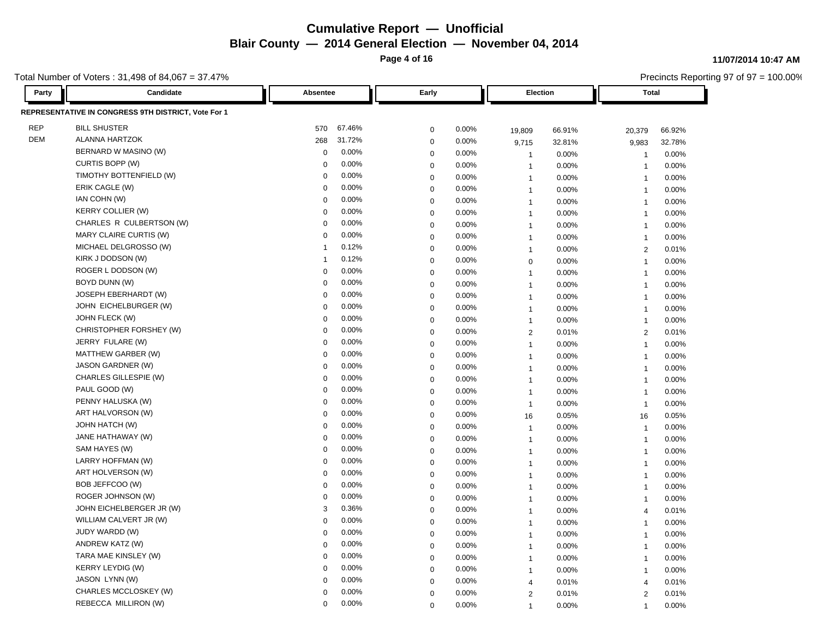**Page 4 of 16**

**11/07/2014 10:47 AM**

Precincts Reporting 97 of 97 = 100.00%

| Party      | Candidate                                           | Absentee             | Early            |          | <b>Election</b> |        | Total                   |        |
|------------|-----------------------------------------------------|----------------------|------------------|----------|-----------------|--------|-------------------------|--------|
|            | REPRESENTATIVE IN CONGRESS 9TH DISTRICT, Vote For 1 |                      |                  |          |                 |        |                         |        |
| <b>REP</b> | <b>BILL SHUSTER</b>                                 | 67.46%<br>570        | $\mathbf 0$      | 0.00%    | 19,809          | 66.91% | 20,379                  | 66.92% |
| <b>DEM</b> | <b>ALANNA HARTZOK</b>                               | 31.72%<br>268        | $\mathbf 0$      | 0.00%    | 9,715           | 32.81% | 9,983                   | 32.78% |
|            | BERNARD W MASINO (W)                                | 0.00%<br>$\mathbf 0$ | $\mathbf 0$      | 0.00%    | -1              | 0.00%  | $\overline{\mathbf{1}}$ | 0.00%  |
|            | CURTIS BOPP (W)                                     | 0.00%<br>$\Omega$    | $\mathbf 0$      | 0.00%    | $\mathbf{1}$    | 0.00%  | $\overline{1}$          | 0.00%  |
|            | TIMOTHY BOTTENFIELD (W)                             | 0.00%<br>$\mathbf 0$ | $\mathbf 0$      | 0.00%    | $\mathbf{1}$    | 0.00%  | $\overline{\mathbf{1}}$ | 0.00%  |
|            | ERIK CAGLE (W)                                      | 0.00%<br>$\Omega$    | $\mathbf 0$      | 0.00%    | $\mathbf{1}$    | 0.00%  | $\overline{1}$          | 0.00%  |
|            | IAN COHN (W)                                        | 0.00%<br>$\Omega$    | $\mathbf 0$      | 0.00%    | $\mathbf{1}$    | 0.00%  | $\overline{1}$          | 0.00%  |
|            | <b>KERRY COLLIER (W)</b>                            | 0.00%<br>$\mathbf 0$ | $\mathbf 0$      | 0.00%    | $\mathbf{1}$    | 0.00%  | $\overline{1}$          | 0.00%  |
|            | CHARLES R CULBERTSON (W)                            | 0.00%<br>$\Omega$    | $\mathbf 0$      | 0.00%    | $\overline{1}$  | 0.00%  | $\overline{1}$          | 0.00%  |
|            | MARY CLAIRE CURTIS (W)                              | 0.00%<br>$\Omega$    | $\mathbf 0$      | $0.00\%$ | $\mathbf{1}$    | 0.00%  | 1                       | 0.00%  |
|            | MICHAEL DELGROSSO (W)                               | 0.12%                | $\mathbf 0$      | 0.00%    | $\mathbf{1}$    | 0.00%  | 2                       | 0.01%  |
|            | KIRK J DODSON (W)                                   | 0.12%                | $\boldsymbol{0}$ | 0.00%    | $\mathbf 0$     | 0.00%  | $\overline{1}$          | 0.00%  |
|            | ROGER L DODSON (W)                                  | 0.00%<br>$\mathbf 0$ | $\mathbf 0$      | 0.00%    | $\mathbf{1}$    | 0.00%  | $\overline{1}$          | 0.00%  |
|            | BOYD DUNN (W)                                       | 0.00%<br>$\Omega$    | $\mathbf 0$      | 0.00%    | $\overline{1}$  | 0.00%  | $\overline{1}$          | 0.00%  |
|            | JOSEPH EBERHARDT (W)                                | 0.00%<br>$\mathbf 0$ | $\pmb{0}$        | 0.00%    | $\mathbf{1}$    | 0.00%  | $\overline{1}$          | 0.00%  |
|            | JOHN EICHELBURGER (W)                               | 0.00%<br>$\mathbf 0$ | $\Omega$         | 0.00%    | $\mathbf{1}$    | 0.00%  | $\overline{\mathbf{1}}$ | 0.00%  |
|            | JOHN FLECK (W)                                      | 0.00%<br>$\Omega$    | $\mathbf 0$      | 0.00%    | $\mathbf{1}$    | 0.00%  | $\overline{1}$          | 0.00%  |
|            | CHRISTOPHER FORSHEY (W)                             | 0.00%<br>$\mathbf 0$ | $\mathbf 0$      | 0.00%    | $\overline{2}$  | 0.01%  | 2                       | 0.01%  |
|            | JERRY FULARE (W)                                    | 0.00%<br>$\mathbf 0$ | $\mathbf 0$      | 0.00%    | $\mathbf{1}$    | 0.00%  | $\overline{\mathbf{1}}$ | 0.00%  |
|            | MATTHEW GARBER (W)                                  | 0.00%<br>$\Omega$    | $\mathbf 0$      | 0.00%    | $\mathbf{1}$    | 0.00%  | $\overline{1}$          | 0.00%  |
|            | <b>JASON GARDNER (W)</b>                            | 0.00%<br>$\mathbf 0$ | $\mathbf 0$      | 0.00%    | $\mathbf{1}$    | 0.00%  | $\overline{1}$          | 0.00%  |
|            | CHARLES GILLESPIE (W)                               | 0.00%<br>$\Omega$    | $\mathbf 0$      | 0.00%    | $\mathbf{1}$    | 0.00%  | $\overline{1}$          | 0.00%  |
|            | PAUL GOOD (W)                                       | 0.00%<br>$\Omega$    | $\mathbf 0$      | $0.00\%$ | $\mathbf{1}$    | 0.00%  | $\overline{1}$          | 0.00%  |
|            | PENNY HALUSKA (W)                                   | 0.00%<br>$\mathbf 0$ | $\mathbf 0$      | 0.00%    | $\mathbf{1}$    | 0.00%  | $\overline{1}$          | 0.00%  |
|            | ART HALVORSON (W)                                   | 0.00%<br>$\Omega$    | $\mathbf 0$      | 0.00%    | 16              | 0.05%  | 16                      | 0.05%  |
|            | <b>JOHN HATCH (W)</b>                               | 0.00%<br>$\mathbf 0$ | $\mathbf 0$      | 0.00%    | $\mathbf{1}$    | 0.00%  | $\overline{1}$          | 0.00%  |
|            | JANE HATHAWAY (W)                                   | 0.00%<br>$\mathbf 0$ | $\mathbf 0$      | 0.00%    | $\mathbf{1}$    | 0.00%  | $\overline{1}$          | 0.00%  |
|            | SAM HAYES (W)                                       | 0.00%<br>$\Omega$    | $\mathbf 0$      | 0.00%    | $\mathbf{1}$    | 0.00%  | $\overline{1}$          | 0.00%  |
|            | LARRY HOFFMAN (W)                                   | 0.00%<br>$\mathbf 0$ | $\mathbf 0$      | 0.00%    | $\mathbf{1}$    | 0.00%  | $\overline{1}$          | 0.00%  |
|            | ART HOLVERSON (W)                                   | 0.00%<br>$\Omega$    | $\mathbf 0$      | 0.00%    | $\mathbf{1}$    | 0.00%  | $\overline{1}$          | 0.00%  |
|            | BOB JEFFCOO (W)                                     | 0.00%<br>$\Omega$    | $\mathbf 0$      | 0.00%    | $\mathbf{1}$    | 0.00%  | $\overline{1}$          | 0.00%  |
|            | ROGER JOHNSON (W)                                   | 0.00%<br>$\mathbf 0$ | $\mathbf 0$      | 0.00%    | $\mathbf{1}$    | 0.00%  | $\overline{\mathbf{1}}$ | 0.00%  |
|            | JOHN EICHELBERGER JR (W)                            | 0.36%<br>3           | $\mathbf 0$      | 0.00%    | $\mathbf{1}$    | 0.00%  | $\overline{4}$          | 0.01%  |
|            | WILLIAM CALVERT JR (W)                              | 0.00%<br>$\mathbf 0$ | $\mathbf 0$      | 0.00%    | $\mathbf{1}$    | 0.00%  | $\overline{\mathbf{1}}$ | 0.00%  |
|            | JUDY WARDD (W)                                      | 0.00%<br>$\Omega$    | $\mathbf 0$      | 0.00%    | $\mathbf{1}$    | 0.00%  | $\overline{\mathbf{1}}$ | 0.00%  |
|            | ANDREW KATZ (W)                                     | 0.00%<br>$\Omega$    | $\mathbf 0$      | 0.00%    | $\mathbf{1}$    | 0.00%  | $\overline{1}$          | 0.00%  |
|            | TARA MAE KINSLEY (W)                                | 0.00%<br>$\mathbf 0$ | $\mathbf 0$      | 0.00%    | $\mathbf{1}$    | 0.00%  | $\overline{1}$          | 0.00%  |
|            | <b>KERRY LEYDIG (W)</b>                             | 0.00%<br>$\mathbf 0$ | $\mathbf 0$      | 0.00%    | $\mathbf{1}$    | 0.00%  | $\overline{1}$          | 0.00%  |
|            | JASON LYNN (W)                                      | 0.00%<br>$\Omega$    | $\mathbf 0$      | 0.00%    | $\overline{4}$  | 0.01%  | $\overline{4}$          | 0.01%  |
|            | CHARLES MCCLOSKEY (W)                               | 0.00%<br>$\Omega$    | $\mathbf 0$      | 0.00%    | 2               | 0.01%  | 2                       | 0.01%  |
|            | REBECCA MILLIRON (W)                                | 0.00%<br>0           | $\Omega$         | 0.00%    |                 | 0.00%  | $\overline{1}$          | 0.00%  |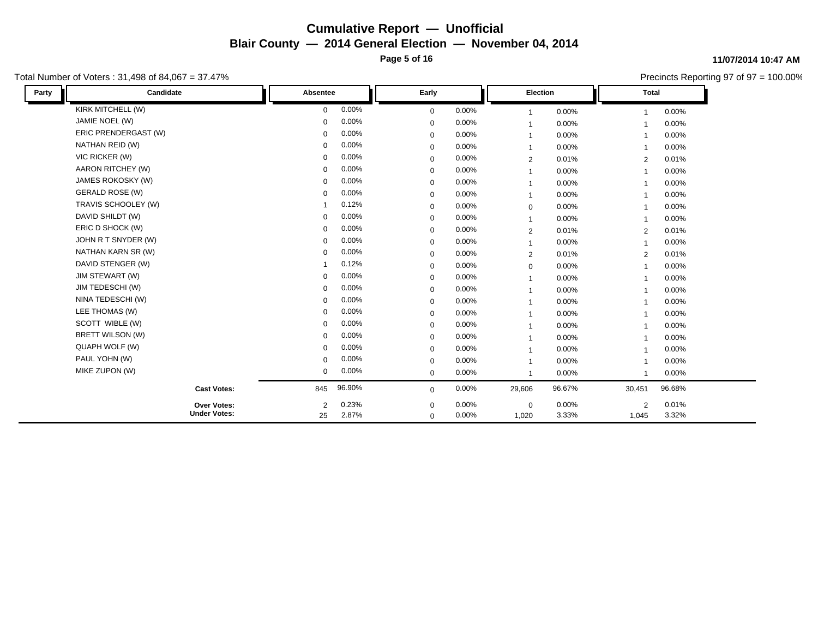**Page 5 of 16**

### Total Number of Voters : 31,498 of 84,067 = 37.47%

#### **11/07/2014 10:47 AM**

| Party | Candidate              | Absentee       |          | Early       |          | Election       |          | <b>Total</b>            |          |
|-------|------------------------|----------------|----------|-------------|----------|----------------|----------|-------------------------|----------|
|       | KIRK MITCHELL (W)      | $\mathbf 0$    | 0.00%    | $\mathbf 0$ | 0.00%    | $\mathbf{1}$   | 0.00%    |                         | $0.00\%$ |
|       | JAMIE NOEL (W)         | $\Omega$       | 0.00%    | $\mathbf 0$ | 0.00%    | $\mathbf{1}$   | 0.00%    | $\overline{\mathbf{1}}$ | $0.00\%$ |
|       | ERIC PRENDERGAST (W)   | $\Omega$       | 0.00%    | $\mathbf 0$ | 0.00%    | $\mathbf{1}$   | 0.00%    | $\mathbf{A}$            | 0.00%    |
|       | NATHAN REID (W)        | $\Omega$       | $0.00\%$ | $\mathbf 0$ | 0.00%    | $\overline{1}$ | 0.00%    |                         | $0.00\%$ |
|       | VIC RICKER (W)         | $\Omega$       | 0.00%    | $\mathbf 0$ | 0.00%    | 2              | 0.01%    | 2                       | 0.01%    |
|       | AARON RITCHEY (W)      | $\Omega$       | 0.00%    | $\mathbf 0$ | 0.00%    | $\overline{1}$ | 0.00%    |                         | $0.00\%$ |
|       | JAMES ROKOSKY (W)      | $\Omega$       | 0.00%    | $\mathbf 0$ | 0.00%    | $\mathbf{1}$   | 0.00%    |                         | $0.00\%$ |
|       | <b>GERALD ROSE (W)</b> | $\Omega$       | 0.00%    | $\mathbf 0$ | 0.00%    | $\mathbf{1}$   | 0.00%    |                         | $0.00\%$ |
|       | TRAVIS SCHOOLEY (W)    |                | 0.12%    | $\mathbf 0$ | $0.00\%$ | $\mathbf 0$    | 0.00%    |                         | 0.00%    |
|       | DAVID SHILDT (W)       | $\Omega$       | 0.00%    | $\mathbf 0$ | 0.00%    | $\mathbf{1}$   | 0.00%    |                         | $0.00\%$ |
|       | ERIC D SHOCK (W)       | $\Omega$       | 0.00%    | $\mathbf 0$ | 0.00%    | 2              | 0.01%    | 2                       | 0.01%    |
|       | JOHN R T SNYDER (W)    | $\Omega$       | 0.00%    | 0           | 0.00%    | $\mathbf{1}$   | 0.00%    |                         | $0.00\%$ |
|       | NATHAN KARN SR (W)     | $\Omega$       | 0.00%    | $\mathbf 0$ | 0.00%    | $\overline{2}$ | 0.01%    | 2                       | 0.01%    |
|       | DAVID STENGER (W)      |                | 0.12%    | $\mathbf 0$ | 0.00%    | $\mathbf 0$    | 0.00%    | $\overline{1}$          | $0.00\%$ |
|       | JIM STEWART (W)        | $\mathbf 0$    | 0.00%    | $\mathbf 0$ | 0.00%    | $\overline{1}$ | $0.00\%$ |                         | $0.00\%$ |
|       | JIM TEDESCHI (W)       | $\Omega$       | 0.00%    | $\mathbf 0$ | 0.00%    | $\mathbf{1}$   | 0.00%    |                         | $0.00\%$ |
|       | NINA TEDESCHI (W)      | $\Omega$       | $0.00\%$ | $\mathbf 0$ | 0.00%    | $\mathbf{1}$   | 0.00%    |                         | $0.00\%$ |
|       | LEE THOMAS (W)         | $\Omega$       | 0.00%    | $\mathbf 0$ | 0.00%    | $\mathbf{1}$   | 0.00%    |                         | 0.00%    |
|       | SCOTT WIBLE (W)        | $\Omega$       | $0.00\%$ | $\mathbf 0$ | 0.00%    | $\mathbf{1}$   | 0.00%    |                         | $0.00\%$ |
|       | BRETT WILSON (W)       | $\mathbf 0$    | 0.00%    | $\mathbf 0$ | $0.00\%$ | $\mathbf{1}$   | 0.00%    |                         | 0.00%    |
|       | QUAPH WOLF (W)         | $\Omega$       | 0.00%    | $\mathbf 0$ | 0.00%    | $\mathbf{1}$   | 0.00%    |                         | 0.00%    |
|       | PAUL YOHN (W)          | $\Omega$       | 0.00%    | $\mathbf 0$ | $0.00\%$ | $\mathbf{1}$   | 0.00%    |                         | $0.00\%$ |
|       | MIKE ZUPON (W)         | $\mathbf 0$    | 0.00%    | $\mathbf 0$ | 0.00%    | $\mathbf{1}$   | 0.00%    |                         | $0.00\%$ |
|       | <b>Cast Votes:</b>     | 845            | 96.90%   | $\mathbf 0$ | $0.00\%$ | 29,606         | 96.67%   | 30,451                  | 96.68%   |
|       | <b>Over Votes:</b>     | $\overline{2}$ | 0.23%    | $\mathbf 0$ | 0.00%    | $\mathbf 0$    | 0.00%    | $\overline{2}$          | 0.01%    |
|       | <b>Under Votes:</b>    | 25             | 2.87%    | $\mathbf 0$ | $0.00\%$ | 1,020          | 3.33%    | 1,045                   | 3.32%    |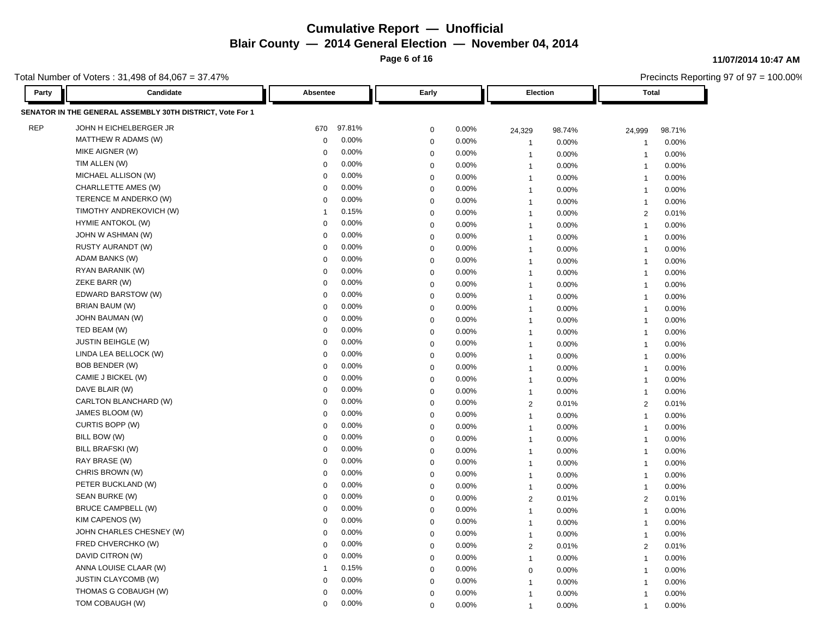**Page 6 of 16**

**11/07/2014 10:47 AM**

Precincts Reporting 97 of 97 = 100.00%

| Party      | Candidate                                                 |             | Absentee<br>Early |                     |       | Election       |        | <b>Total</b>   |        |
|------------|-----------------------------------------------------------|-------------|-------------------|---------------------|-------|----------------|--------|----------------|--------|
|            | SENATOR IN THE GENERAL ASSEMBLY 30TH DISTRICT, Vote For 1 |             |                   |                     |       |                |        |                |        |
| <b>REP</b> | JOHN H EICHELBERGER JR                                    | 670         | 97.81%            | 0                   | 0.00% | 24,329         | 98.74% | 24,999         | 98.71% |
|            | MATTHEW R ADAMS (W)                                       | $\mathbf 0$ | 0.00%             | $\mathbf 0$         | 0.00% | $\mathbf{1}$   | 0.00%  | $\overline{1}$ | 0.00%  |
|            | MIKE AIGNER (W)                                           | $\Omega$    | 0.00%             | 0                   | 0.00% | 1              | 0.00%  | -1             | 0.00%  |
|            | TIM ALLEN (W)                                             | $\Omega$    | 0.00%             | $\mathbf 0$         | 0.00% | $\overline{1}$ | 0.00%  | $\overline{1}$ | 0.00%  |
|            | MICHAEL ALLISON (W)                                       | $\Omega$    | 0.00%             | $\mathbf 0$         | 0.00% | $\overline{1}$ | 0.00%  | $\overline{1}$ | 0.00%  |
|            | CHARLLETTE AMES (W)                                       | $\Omega$    | 0.00%             | 0                   | 0.00% | $\overline{1}$ | 0.00%  | $\overline{1}$ | 0.00%  |
|            | TERENCE M ANDERKO (W)                                     | $\Omega$    | 0.00%             | $\mathbf 0$         | 0.00% | $\mathbf{1}$   | 0.00%  | $\overline{1}$ | 0.00%  |
|            | TIMOTHY ANDREKOVICH (W)                                   | 1           | 0.15%             | $\mathbf 0$         | 0.00% | $\overline{1}$ | 0.00%  | $\overline{2}$ | 0.01%  |
|            | <b>HYMIE ANTOKOL (W)</b>                                  | $\Omega$    | 0.00%             | 0                   | 0.00% | $\overline{1}$ | 0.00%  | $\overline{1}$ | 0.00%  |
|            | JOHN W ASHMAN (W)                                         | $\Omega$    | 0.00%             | $\mathbf 0$         | 0.00% | $\mathbf{1}$   | 0.00%  | $\overline{1}$ | 0.00%  |
|            | RUSTY AURANDT (W)                                         | $\Omega$    | 0.00%             | $\mathbf 0$         | 0.00% | $\overline{1}$ | 0.00%  | $\overline{1}$ | 0.00%  |
|            | ADAM BANKS (W)                                            | $\Omega$    | 0.00%             | $\mathbf 0$         | 0.00% | $\mathbf{1}$   | 0.00%  | $\overline{1}$ | 0.00%  |
|            | RYAN BARANIK (W)                                          | $\mathbf 0$ | 0.00%             | $\mathbf 0$         | 0.00% | $\overline{1}$ | 0.00%  | $\overline{1}$ | 0.00%  |
|            | ZEKE BARR (W)                                             | $\Omega$    | 0.00%             | 0                   | 0.00% | $\overline{1}$ | 0.00%  | $\overline{1}$ | 0.00%  |
|            | EDWARD BARSTOW (W)                                        | $\mathbf 0$ | 0.00%             | $\mathbf 0$         | 0.00% | $\mathbf{1}$   | 0.00%  | $\overline{1}$ | 0.00%  |
|            | BRIAN BAUM (W)                                            | $\Omega$    | 0.00%             | $\mathbf 0$         | 0.00% | $\mathbf{1}$   | 0.00%  | $\overline{1}$ | 0.00%  |
|            | JOHN BAUMAN (W)                                           | $\Omega$    | 0.00%             | $\mathbf 0$         | 0.00% | $\overline{1}$ | 0.00%  | $\overline{1}$ | 0.00%  |
|            | TED BEAM (W)                                              | $\Omega$    | 0.00%             | $\mathbf 0$         | 0.00% | $\overline{1}$ | 0.00%  | $\overline{1}$ | 0.00%  |
|            | <b>JUSTIN BEIHGLE (W)</b>                                 | $\Omega$    | 0.00%             | 0                   | 0.00% | $\overline{1}$ | 0.00%  | $\overline{1}$ | 0.00%  |
|            | LINDA LEA BELLOCK (W)                                     | $\Omega$    | 0.00%             | $\mathbf 0$         | 0.00% | $\mathbf{1}$   | 0.00%  | $\overline{1}$ | 0.00%  |
|            | <b>BOB BENDER (W)</b>                                     | $\Omega$    | 0.00%             | $\mathbf 0$         | 0.00% | $\mathbf{1}$   | 0.00%  | $\overline{1}$ | 0.00%  |
|            | CAMIE J BICKEL (W)                                        | $\mathbf 0$ | 0.00%             | $\mathbf 0$         | 0.00% | $\overline{1}$ | 0.00%  | $\overline{1}$ | 0.00%  |
|            | DAVE BLAIR (W)                                            | $\Omega$    | 0.00%             | 0                   | 0.00% | $\overline{1}$ | 0.00%  | $\overline{1}$ | 0.00%  |
|            | CARLTON BLANCHARD (W)                                     | $\mathbf 0$ | 0.00%             | $\mathbf 0$         | 0.00% | $\overline{2}$ | 0.01%  | $\overline{2}$ | 0.01%  |
|            | JAMES BLOOM (W)                                           | $\Omega$    | 0.00%             | $\mathbf 0$         | 0.00% | $\mathbf{1}$   | 0.00%  | $\overline{1}$ | 0.00%  |
|            | CURTIS BOPP (W)                                           | $\Omega$    | 0.00%             | $\mathsf{O}\xspace$ | 0.00% | $\overline{1}$ | 0.00%  | $\mathbf{1}$   | 0.00%  |
|            | BILL BOW (W)                                              | $\Omega$    | 0.00%             | $\mathbf 0$         | 0.00% | $\overline{1}$ | 0.00%  | $\overline{1}$ | 0.00%  |
|            | BILL BRAFSKI (W)                                          | $\Omega$    | 0.00%             | $\mathbf 0$         | 0.00% | $\mathbf{1}$   | 0.00%  | $\mathbf{1}$   | 0.00%  |
|            | RAY BRASE (W)                                             | $\mathbf 0$ | 0.00%             | 0                   | 0.00% | $\mathbf{1}$   | 0.00%  | $\overline{1}$ | 0.00%  |
|            | CHRIS BROWN (W)                                           | $\Omega$    | 0.00%             | $\mathbf 0$         | 0.00% | $\overline{1}$ | 0.00%  | $\overline{1}$ | 0.00%  |
|            | PETER BUCKLAND (W)                                        | $\Omega$    | 0.00%             | $\mathbf 0$         | 0.00% | $\mathbf{1}$   | 0.00%  | $\overline{1}$ | 0.00%  |
|            | SEAN BURKE (W)                                            | $\Omega$    | 0.00%             | 0                   | 0.00% | 2              | 0.01%  | $\overline{2}$ | 0.01%  |
|            | <b>BRUCE CAMPBELL (W)</b>                                 | $\Omega$    | 0.00%             | $\mathbf 0$         | 0.00% | $\mathbf{1}$   | 0.00%  | $\overline{1}$ | 0.00%  |
|            | KIM CAPENOS (W)                                           | $\Omega$    | 0.00%             | $\mathbf 0$         | 0.00% | $\mathbf{1}$   | 0.00%  | $\overline{1}$ | 0.00%  |
|            | JOHN CHARLES CHESNEY (W)                                  | $\Omega$    | 0.00%             | $\mathbf 0$         | 0.00% | $\mathbf{1}$   | 0.00%  | $\overline{1}$ | 0.00%  |
|            | FRED CHVERCHKO (W)                                        | $\Omega$    | 0.00%             | $\mathbf 0$         | 0.00% | $\overline{2}$ | 0.01%  | 2              | 0.01%  |
|            | DAVID CITRON (W)                                          | $\Omega$    | 0.00%             | $\mathbf 0$         | 0.00% | $\mathbf{1}$   | 0.00%  | $\overline{1}$ | 0.00%  |
|            | ANNA LOUISE CLAAR (W)                                     | 1           | 0.15%             | 0                   | 0.00% | 0              | 0.00%  | $\overline{1}$ | 0.00%  |
|            | JUSTIN CLAYCOMB (W)                                       | $\Omega$    | 0.00%             | $\mathbf 0$         | 0.00% | $\overline{1}$ | 0.00%  | 1              | 0.00%  |
|            | THOMAS G COBAUGH (W)                                      | $\Omega$    | 0.00%             | $\Omega$            | 0.00% | $\overline{1}$ | 0.00%  | $\overline{1}$ | 0.00%  |
|            | TOM COBAUGH (W)                                           | $\Omega$    | 0.00%             | $\Omega$            | 0.00% | $\overline{1}$ | 0.00%  | 1              | 0.00%  |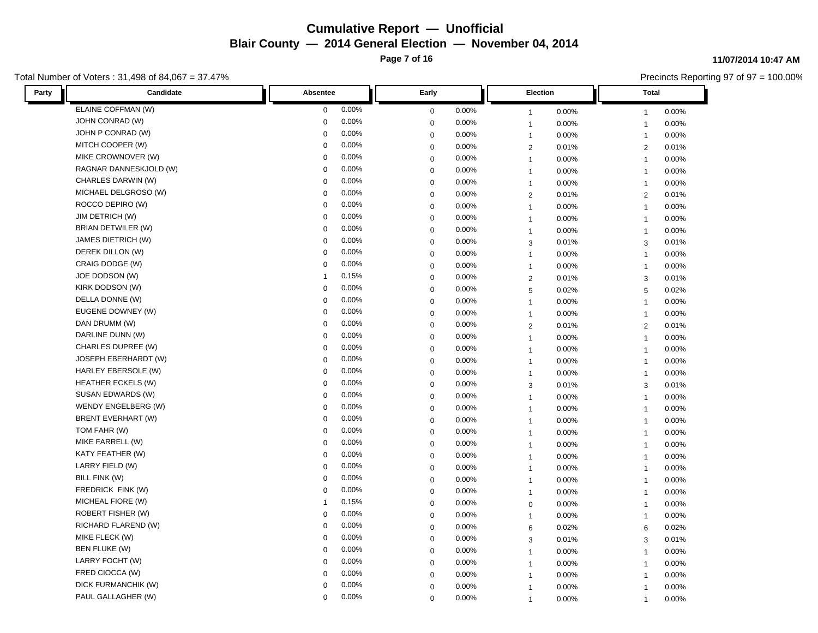**Page 7 of 16**

### Total Number of Voters : 31,498 of 84,067 = 37.47%

#### **11/07/2014 10:47 AM**

| Candidate<br>Party        | Absentee     | Early       | <b>Election</b> | Total          |
|---------------------------|--------------|-------------|-----------------|----------------|
| ELAINE COFFMAN (W)        | 0.00%        | 0.00%       | 0.00%           | $0.00\%$       |
|                           | $\mathbf 0$  | $\mathbf 0$ | $\mathbf{1}$    | $\mathbf{1}$   |
| JOHN CONRAD (W)           | 0.00%        | 0.00%       | 0.00%           | 0.00%          |
|                           | $\mathbf 0$  | $\mathbf 0$ | $\mathbf{1}$    | $\overline{1}$ |
| JOHN P CONRAD (W)         | 0.00%        | 0.00%       | 0.00%           | 0.00%          |
|                           | $\Omega$     | $\mathbf 0$ | $\mathbf{1}$    | $\mathbf{1}$   |
| MITCH COOPER (W)          | 0.00%        | 0.00%       | $\overline{2}$  | 0.01%          |
|                           | $\Omega$     | $\mathbf 0$ | 0.01%           | $\overline{2}$ |
| MIKE CROWNOVER (W)        | 0.00%        | 0.00%       | 0.00%           | 0.00%          |
|                           | $\mathbf 0$  | $\mathbf 0$ | $\mathbf{1}$    | $\overline{1}$ |
| RAGNAR DANNESKJOLD (W)    | 0.00%        | $\mathbf 0$ | 0.00%           | 0.00%          |
|                           | $\mathbf 0$  | 0.00%       | $\mathbf{1}$    | $\overline{1}$ |
| CHARLES DARWIN (W)        | 0.00%        | 0.00%       | 0.00%           | 0.00%          |
|                           | $\Omega$     | $\mathbf 0$ | $\mathbf{1}$    | $\mathbf{1}$   |
| MICHAEL DELGROSO (W)      | 0.00%        | 0.00%       | $\overline{2}$  | $\overline{2}$ |
|                           | $\Omega$     | $\mathbf 0$ | 0.01%           | 0.01%          |
| ROCCO DEPIRO (W)          | 0.00%        | $\mathbf 0$ | 0.00%           | 0.00%          |
|                           | $\mathbf 0$  | 0.00%       | $\mathbf{1}$    | $\overline{1}$ |
| <b>JIM DETRICH (W)</b>    | 0.00%        | 0.00%       | $\mathbf{1}$    | 0.00%          |
|                           | $\mathbf 0$  | $\mathbf 0$ | 0.00%           | $\mathbf{1}$   |
| <b>BRIAN DETWILER (W)</b> | 0.00%        | 0.00%       | 0.00%           | 0.00%          |
|                           | $\mathbf 0$  | $\mathbf 0$ | $\mathbf{1}$    | $\mathbf{1}$   |
| JAMES DIETRICH (W)        | 0.00%        | 0.00%       | $\mathbf{3}$    | 0.01%          |
|                           | $\mathbf 0$  | $\mathbf 0$ | 0.01%           | 3              |
| DEREK DILLON (W)          | 0.00%        | 0.00%       | 0.00%           | 0.00%          |
|                           | $\mathbf 0$  | $\mathbf 0$ | $\mathbf{1}$    | $\mathbf{1}$   |
| CRAIG DODGE (W)           | 0.00%        | 0.00%       | 0.00%           | 0.00%          |
|                           | $\Omega$     | $\mathbf 0$ | $\mathbf{1}$    | $\mathbf{1}$   |
| JOE DODSON (W)            | 0.15%        | 0.00%       | 0.01%           | 0.01%          |
|                           | $\mathbf{1}$ | $\mathbf 0$ | $\overline{2}$  | 3              |
| KIRK DODSON (W)           | 0.00%        | $\mathbf 0$ | 5               | 5              |
|                           | $\mathbf 0$  | 0.00%       | 0.02%           | 0.02%          |
| DELLA DONNE (W)           | 0.00%        | 0.00%       | $\mathbf{1}$    | 0.00%          |
|                           | $\mathbf 0$  | $\mathbf 0$ | 0.00%           | $\mathbf{1}$   |
| EUGENE DOWNEY (W)         | 0.00%        | $\mathbf 0$ | 0.00%           | 0.00%          |
|                           | $\mathbf 0$  | 0.00%       | $\mathbf{1}$    | $\mathbf{1}$   |
| DAN DRUMM (W)             | 0.00%        | $\mathbf 0$ | $\overline{2}$  | $\overline{2}$ |
|                           | $\mathbf 0$  | 0.00%       | 0.01%           | 0.01%          |
| DARLINE DUNN (W)          | 0.00%        | 0.00%       | 0.00%           | 0.00%          |
|                           | 0            | $\mathbf 0$ | $\mathbf{1}$    | $\mathbf{1}$   |
| CHARLES DUPREE (W)        | 0.00%        | $\mathbf 0$ | 0.00%           | 0.00%          |
|                           | $\mathbf 0$  | 0.00%       | $\mathbf{1}$    | $\mathbf{1}$   |
| JOSEPH EBERHARDT (W)      | 0.00%        | $\mathbf 0$ | 0.00%           | 0.00%          |
|                           | $\mathbf 0$  | 0.00%       | $\mathbf{1}$    | $\overline{1}$ |
| HARLEY EBERSOLE (W)       | 0.00%        | $0.00\%$    | 0.00%           | 0.00%          |
|                           | $\mathbf 0$  | $\mathbf 0$ | $\mathbf{1}$    | $\mathbf{1}$   |
| <b>HEATHER ECKELS (W)</b> | 0.00%        | 0.00%       | 3               | 0.01%          |
|                           | $\mathbf 0$  | $\mathbf 0$ | 0.01%           | 3              |
| SUSAN EDWARDS (W)         | 0.00%        | 0.00%       | 0.00%           | 0.00%          |
|                           | $\Omega$     | $\mathbf 0$ | $\mathbf{1}$    | $\mathbf{1}$   |
| WENDY ENGELBERG (W)       | 0.00%        | 0.00%       | 0.00%           | 0.00%          |
|                           | $\Omega$     | $\mathbf 0$ | $\mathbf{1}$    | $\overline{1}$ |
| <b>BRENT EVERHART (W)</b> | 0.00%        | 0.00%       | 0.00%           | 0.00%          |
|                           | $\mathbf 0$  | $\mathbf 0$ | $\mathbf{1}$    | $\overline{1}$ |
| TOM FAHR (W)              | 0.00%        | 0.00%       | 0.00%           | 0.00%          |
|                           | $\Omega$     | $\mathbf 0$ | $\mathbf{1}$    | $\mathbf{1}$   |
| MIKE FARRELL (W)          | 0.00%        | $\mathbf 0$ | 0.00%           | 0.00%          |
|                           | $\Omega$     | $0.00\%$    | $\overline{1}$  | $\overline{1}$ |
| KATY FEATHER (W)          | 0.00%        | 0.00%       | 0.00%           | 0.00%          |
|                           | $\mathbf 0$  | $\mathbf 0$ | $\mathbf{1}$    | $\overline{1}$ |
| LARRY FIELD (W)           | 0.00%        | 0.00%       | 0.00%           | 0.00%          |
|                           | $\mathbf 0$  | $\mathbf 0$ | $\mathbf{1}$    | $\mathbf{1}$   |
| BILL FINK (W)             | 0.00%        | 0.00%       | 0.00%           | 0.00%          |
|                           | $\mathbf 0$  | $\mathbf 0$ | $\mathbf{1}$    | $\mathbf{1}$   |
| FREDRICK FINK (W)         | 0.00%        | 0.00%       | 0.00%           | 0.00%          |
|                           | $\mathbf 0$  | $\mathbf 0$ | $\mathbf{1}$    | $\overline{1}$ |
| MICHEAL FIORE (W)         | 0.15%        | 0.00%       | $\pmb{0}$       | 0.00%          |
|                           | $\mathbf{1}$ | $\mathbf 0$ | 0.00%           | $\mathbf{1}$   |
| ROBERT FISHER (W)         | 0.00%        | 0.00%       | 0.00%           | 0.00%          |
|                           | $\Omega$     | $\mathbf 0$ | $\mathbf{1}$    | $\mathbf{1}$   |
| RICHARD FLAREND (W)       | 0.00%        | $\mathbf 0$ | 0.02%           | 0.02%          |
|                           | $\Omega$     | 0.00%       | 6               | 6              |
| MIKE FLECK (W)            | 0.00%        | $\mathbf 0$ | 3               | 3              |
|                           | $\Omega$     | 0.00%       | 0.01%           | 0.01%          |
| <b>BEN FLUKE (W)</b>      | 0.00%        | 0.00%       | 0.00%           | 0.00%          |
|                           | $\mathbf 0$  | $\mathbf 0$ | $\mathbf{1}$    | $\mathbf{1}$   |
| LARRY FOCHT (W)           | 0.00%        | 0.00%       | 0.00%           | 0.00%          |
|                           | $\mathbf 0$  | $\mathbf 0$ | $\mathbf{1}$    | $\mathbf{1}$   |
| FRED CIOCCA (W)           | 0.00%        | 0.00%       | 0.00%           | 0.00%          |
|                           | $\Omega$     | $\mathbf 0$ | $\overline{1}$  | $\overline{1}$ |
| DICK FURMANCHIK (W)       | 0.00%        | 0.00%       | 0.00%           | 0.00%          |
|                           | $\Omega$     | $\mathbf 0$ | $\overline{1}$  | $\overline{1}$ |
| PAUL GALLAGHER (W)        | 0.00%        | 0.00%       | 0.00%           | 0.00%          |
|                           | $\Omega$     | $\mathbf 0$ | $\mathbf{1}$    | $\mathbf{1}$   |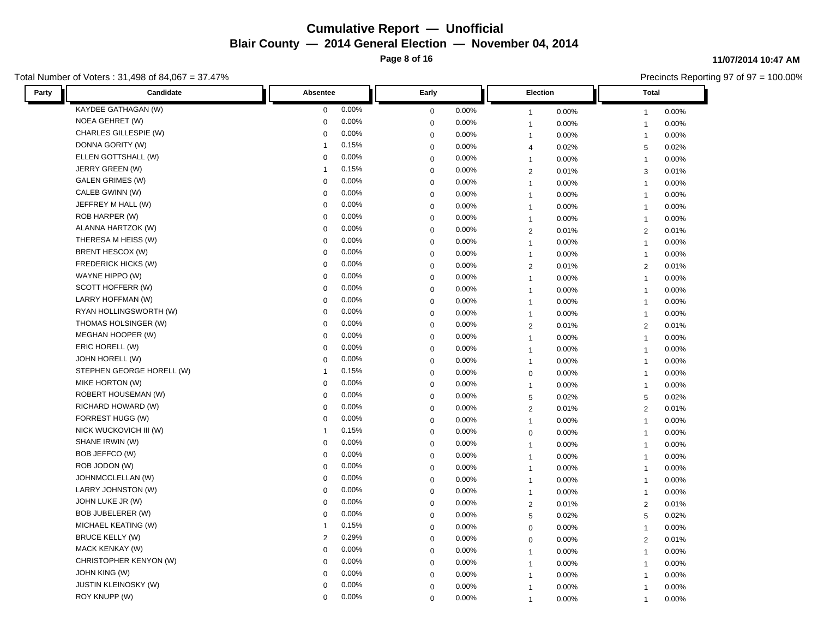**Page 8 of 16**

### Total Number of Voters : 31,498 of 84,067 = 37.47%

#### **11/07/2014 10:47 AM**

| Candidate<br>Party         | Absentee       | Early       | <b>Election</b> | <b>Total</b>   |
|----------------------------|----------------|-------------|-----------------|----------------|
| KAYDEE GATHAGAN (W)        | 0.00%          | 0.00%       | 0.00%           | 0.00%          |
|                            | 0              | $\mathbf 0$ | $\mathbf{1}$    | $\mathbf{1}$   |
| NOEA GEHRET (W)            | 0.00%          | 0.00%       | 0.00%           | 0.00%          |
|                            | 0              | $\mathbf 0$ | $\mathbf{1}$    | $\mathbf{1}$   |
| CHARLES GILLESPIE (W)      | 0.00%          | 0.00%       | 0.00%           | 0.00%          |
|                            | 0              | $\mathbf 0$ | $\overline{1}$  | $\mathbf{1}$   |
| DONNA GORITY (W)           | 0.15%          | 0.00%       | 0.02%           | 0.02%          |
|                            | 1              | $\mathbf 0$ | $\overline{4}$  | 5              |
| ELLEN GOTTSHALL (W)        | 0.00%          | $\mathbf 0$ | 0.00%           | 0.00%          |
|                            | 0              | 0.00%       | $\mathbf{1}$    | $\overline{1}$ |
| JERRY GREEN (W)            | 0.15%          | 0.00%       | $\sqrt{2}$      | 0.01%          |
|                            | $\mathbf{1}$   | $\mathbf 0$ | 0.01%           | 3              |
| <b>GALEN GRIMES (W)</b>    | 0.00%          | 0.00%       | 0.00%           | 0.00%          |
|                            | 0              | $\mathbf 0$ | $\mathbf{1}$    | $\mathbf{1}$   |
| CALEB GWINN (W)            | 0.00%          | 0.00%       | 0.00%           | 0.00%          |
|                            | 0              | $\mathbf 0$ | $\mathbf{1}$    | $\overline{1}$ |
| JEFFREY M HALL (W)         | 0.00%          | $\mathbf 0$ | 0.00%           | 0.00%          |
|                            | 0              | 0.00%       | $\mathbf{1}$    | $\mathbf{1}$   |
| ROB HARPER (W)             | 0.00%          | 0.00%       | $\mathbf{1}$    | 0.00%          |
|                            | 0              | $\mathbf 0$ | 0.00%           | $\mathbf{1}$   |
| ALANNA HARTZOK (W)         | 0.00%          | 0.00%       | 0.01%           | 0.01%          |
|                            | 0              | $\mathbf 0$ | 2               | 2              |
| THERESA M HEISS (W)        | 0.00%          | $\mathbf 0$ | 0.00%           | 0.00%          |
|                            | 0              | 0.00%       | $\mathbf{1}$    | $\overline{1}$ |
| BRENT HESCOX (W)           | 0.00%          | 0.00%       | 0.00%           | 0.00%          |
|                            | 0              | $\mathbf 0$ | $\mathbf{1}$    | $\overline{1}$ |
| <b>FREDERICK HICKS (W)</b> | 0.00%          | 0.00%       | $\overline{2}$  | 0.01%          |
|                            | $\mathbf 0$    | $\mathbf 0$ | 0.01%           | 2              |
| WAYNE HIPPO (W)            | 0              | $\mathbf 0$ | 0.00%           | 0.00%          |
|                            | 0.00%          | 0.00%       | $\mathbf{1}$    | $\mathbf{1}$   |
| SCOTT HOFFERR (W)          | 0.00%          | $\mathbf 0$ | 0.00%           | 0.00%          |
|                            | 0              | 0.00%       | $\mathbf{1}$    | $\mathbf{1}$   |
| LARRY HOFFMAN (W)          | 0.00%          | 0.00%       | 0.00%           | 0.00%          |
|                            | 0              | $\mathbf 0$ | $\mathbf{1}$    | $\mathbf{1}$   |
| RYAN HOLLINGSWORTH (W)     | 0.00%          | $\mathbf 0$ | 0.00%           | 0.00%          |
|                            | 0              | 0.00%       | $\mathbf{1}$    | $\mathbf{1}$   |
| THOMAS HOLSINGER (W)       | 0.00%          | $\mathbf 0$ | $\sqrt{2}$      | 2              |
|                            | 0              | 0.00%       | 0.01%           | 0.01%          |
| MEGHAN HOOPER (W)          | 0.00%          | 0.00%       | 0.00%           | 0.00%          |
|                            | 0              | $\mathbf 0$ | $\mathbf{1}$    | $\mathbf{1}$   |
| ERIC HORELL (W)            | 0.00%          | $\mathbf 0$ | 0.00%           | 0.00%          |
|                            | 0              | 0.00%       | $\mathbf{1}$    | $\mathbf{1}$   |
| JOHN HORELL (W)            | 0.00%          | $\mathbf 0$ | 0.00%           | 0.00%          |
|                            | 0              | 0.00%       | $\mathbf{1}$    | $\mathbf{1}$   |
| STEPHEN GEORGE HORELL (W)  | 0.15%          | $\mathbf 0$ | 0.00%           | 0.00%          |
|                            | $\overline{1}$ | $0.00\%$    | $\mathbf 0$     | $\overline{1}$ |
| MIKE HORTON (W)            | 0.00%          | 0.00%       | 0.00%           | 0.00%          |
|                            | 0              | $\mathbf 0$ | $\mathbf{1}$    | $\mathbf{1}$   |
| <b>ROBERT HOUSEMAN (W)</b> | 0.00%          | 0.00%       | 5               | 0.02%          |
|                            | 0              | $\mathbf 0$ | 0.02%           | 5              |
| RICHARD HOWARD (W)         | 0.00%          | $\mathbf 0$ | $\overline{2}$  | $\overline{2}$ |
|                            | 0              | 0.00%       | 0.01%           | 0.01%          |
| FORREST HUGG (W)           | 0.00%          | 0.00%       | 0.00%           | 0.00%          |
|                            | 0              | $\mathbf 0$ | $\mathbf{1}$    | $\overline{1}$ |
| NICK WUCKOVICH III (W)     | 0.15%          | 0.00%       | $\mathbf 0$     | 0.00%          |
|                            | $\overline{1}$ | $\mathbf 0$ | 0.00%           | $\mathbf{1}$   |
| SHANE IRWIN (W)            | 0.00%          | $\mathbf 0$ | 0.00%           | 0.00%          |
|                            | 0              | $0.00\%$    | $\mathbf{1}$    | $\mathbf{1}$   |
| BOB JEFFCO (W)             | 0.00%          | $\mathbf 0$ | 0.00%           | 0.00%          |
|                            | 0              | 0.00%       | $\mathbf{1}$    | $\mathbf{1}$   |
| ROB JODON (W)              | 0.00%          | 0.00%       | 0.00%           | 0.00%          |
|                            | 0              | $\mathbf 0$ | $\mathbf{1}$    | $\mathbf{1}$   |
| JOHNMCCLELLAN (W)          | 0.00%          | 0.00%       | 0.00%           | 0.00%          |
|                            | 0              | $\mathbf 0$ | $\mathbf{1}$    | $\mathbf{1}$   |
| LARRY JOHNSTON (W)         | 0              | $\mathbf 0$ | 0.00%           | 0.00%          |
|                            | 0.00%          | 0.00%       | $\mathbf{1}$    | $\overline{1}$ |
| JOHN LUKE JR (W)           | 0.00%          | $\mathbf 0$ | $\sqrt{2}$      | $\overline{2}$ |
|                            | 0              | 0.00%       | 0.01%           | 0.01%          |
| BOB JUBELERER (W)          | 0.00%          | 0.00%       | 0.02%           | 0.02%          |
|                            | 0              | $\mathbf 0$ | $\sqrt{5}$      | 5              |
| MICHAEL KEATING (W)        | 0.15%          | $\mathbf 0$ | 0.00%           | 0.00%          |
|                            | 1              | 0.00%       | $\mathbf 0$     | $\mathbf{1}$   |
| <b>BRUCE KELLY (W)</b>     | 0.29%          | $\mathbf 0$ | $\mathbf 0$     | 2              |
|                            | $\overline{2}$ | 0.00%       | 0.00%           | 0.01%          |
| MACK KENKAY (W)            | 0.00%          | 0.00%       | 0.00%           | 0.00%          |
|                            | 0              | $\mathbf 0$ | $\mathbf{1}$    | $\mathbf{1}$   |
| CHRISTOPHER KENYON (W)     | 0              | 0.00%       | 0.00%           | 0.00%          |
|                            | 0.00%          | $\mathbf 0$ | $\mathbf{1}$    | $\mathbf{1}$   |
| JOHN KING (W)              | 0.00%          | $\mathbf 0$ | 0.00%           | 0.00%          |
|                            | 0              | 0.00%       | $\mathbf{1}$    | $\overline{1}$ |
| JUSTIN KLEINOSKY (W)       | 0.00%          | 0.00%       | 0.00%           | 0.00%          |
|                            | 0              | $\mathbf 0$ | $\mathbf{1}$    | $\mathbf{1}$   |
| ROY KNUPP (W)              | 0.00%          | 0.00%       | 0.00%           | 0.00%          |
|                            | $\Omega$       | $\mathbf 0$ | $\overline{1}$  | $\mathbf{1}$   |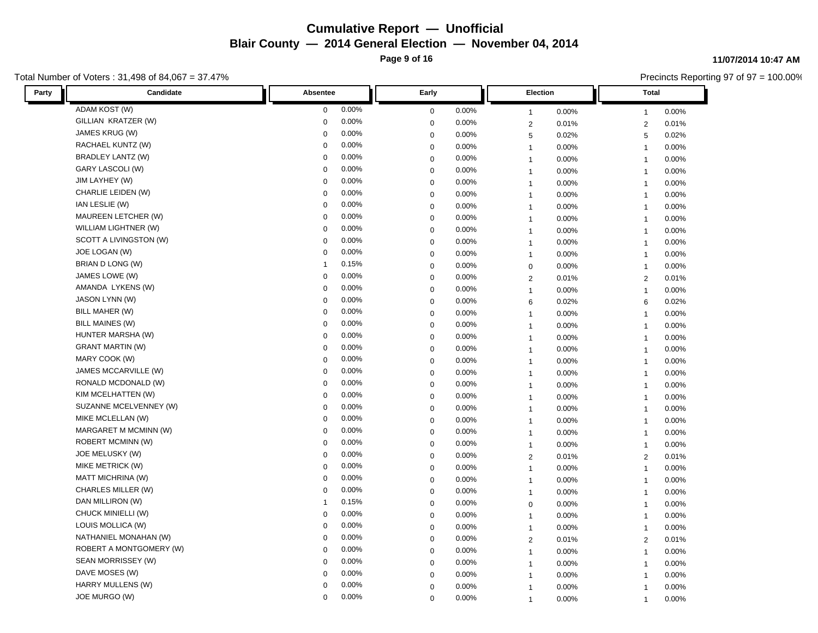**Page 9 of 16**

### Total Number of Voters : 31,498 of 84,067 = 37.47%

#### **11/07/2014 10:47 AM**

| Candidate<br>Party       | Absentee    | Early       | <b>Election</b> | <b>Total</b>   |
|--------------------------|-------------|-------------|-----------------|----------------|
| ADAM KOST (W)            | 0.00%       | 0.00%       | 0.00%           | 0.00%          |
|                          | $\mathbf 0$ | $\mathbf 0$ | $\mathbf{1}$    | $\mathbf{1}$   |
| GILLIAN KRATZER (W)      | 0.00%       | 0.00%       | 0.01%           | 0.01%          |
|                          | $\mathbf 0$ | $\Omega$    | $\overline{2}$  | $\overline{2}$ |
| JAMES KRUG (W)           | 0.00%       | 0.00%       | 5               | 0.02%          |
|                          | $\mathbf 0$ | 0           | 0.02%           | 5              |
| RACHAEL KUNTZ (W)        | 0.00%       | 0.00%       | 0.00%           | 0.00%          |
|                          | $\mathbf 0$ | 0           | $\mathbf{1}$    | $\mathbf{1}$   |
| BRADLEY LANTZ (W)        | 0.00%       | 0.00%       | 0.00%           | 0.00%          |
|                          | $\pmb{0}$   | 0           | $\mathbf{1}$    | $\overline{1}$ |
| GARY LASCOLI (W)         | 0.00%       | 0           | 0.00%           | 0.00%          |
|                          | $\pmb{0}$   | 0.00%       | $\mathbf{1}$    | $\overline{1}$ |
| JIM LAYHEY (W)           | 0.00%       | 0.00%       | 0.00%           | 0.00%          |
|                          | $\mathbf 0$ | 0           | $\mathbf{1}$    | $\mathbf{1}$   |
| CHARLIE LEIDEN (W)       | 0.00%       | 0.00%       | 0.00%           | 0.00%          |
|                          | $\mathbf 0$ | 0           | $\overline{1}$  | $\overline{1}$ |
| IAN LESLIE (W)           | 0.00%       | $\mathbf 0$ | 0.00%           | 0.00%          |
|                          | $\mathbf 0$ | 0.00%       | $\mathbf{1}$    | $\overline{1}$ |
| MAUREEN LETCHER (W)      | 0.00%       | 0.00%       | $\mathbf{1}$    | 0.00%          |
|                          | $\mathbf 0$ | $\mathbf 0$ | 0.00%           | $\mathbf{1}$   |
| WILLIAM LIGHTNER (W)     | 0.00%       | 0.00%       | 0.00%           | 0.00%          |
|                          | $\pmb{0}$   | 0           | $\overline{1}$  | $\mathbf{1}$   |
| SCOTT A LIVINGSTON (W)   | 0.00%       | 0.00%       | 0.00%           | 0.00%          |
|                          | $\mathbf 0$ | $\mathbf 0$ | $\mathbf{1}$    | $\overline{1}$ |
| JOE LOGAN (W)            | 0.00%       | 0.00%       | 0.00%           | 0.00%          |
|                          | $\mathbf 0$ | $\mathbf 0$ | $\mathbf{1}$    | $\overline{1}$ |
| BRIAN D LONG (W)         | 0.15%       | 0.00%       | 0.00%           | 0.00%          |
|                          | -1          | 0           | $\pmb{0}$       | $\mathbf{1}$   |
| JAMES LOWE (W)           | $\mathbf 0$ | 0           | 0.01%           | 0.01%          |
|                          | 0.00%       | 0.00%       | $\overline{2}$  | 2              |
| AMANDA LYKENS (W)        | 0.00%       | 0           | 0.00%           | 0.00%          |
|                          | $\mathbf 0$ | 0.00%       | $\mathbf{1}$    | $\overline{1}$ |
| JASON LYNN (W)           | 0.00%       | 0.00%       | 0.02%           | 0.02%          |
|                          | $\mathbf 0$ | 0           | 6               | 6              |
| BILL MAHER (W)           | 0.00%       | $\mathbf 0$ | 0.00%           | 0.00%          |
|                          | $\mathbf 0$ | 0.00%       | $\mathbf{1}$    | $\mathbf{1}$   |
| <b>BILL MAINES (W)</b>   | 0.00%       | $\mathbf 0$ | 0.00%           | 0.00%          |
|                          | $\mathbf 0$ | 0.00%       | $\mathbf{1}$    | $\mathbf{1}$   |
| HUNTER MARSHA (W)        | 0.00%       | 0.00%       | 0.00%           | 0.00%          |
|                          | $\mathbf 0$ | 0           | $\mathbf{1}$    | $\mathbf{1}$   |
| <b>GRANT MARTIN (W)</b>  | 0.00%       | 0           | 0.00%           | 0.00%          |
|                          | $\mathbf 0$ | 0.00%       | $\mathbf{1}$    | $\mathbf{1}$   |
| MARY COOK (W)            | 0.00%       | 0           | 0.00%           | 0.00%          |
|                          | $\mathbf 0$ | 0.00%       | $\overline{1}$  | $\overline{1}$ |
| JAMES MCCARVILLE (W)     | 0.00%       | 0.00%       | 0.00%           | 0.00%          |
|                          | $\mathbf 0$ | $\mathbf 0$ | $\overline{1}$  | $\overline{1}$ |
| RONALD MCDONALD (W)      | 0.00%       | 0.00%       | 0.00%           | 0.00%          |
|                          | $\mathbf 0$ | $\mathbf 0$ | $\mathbf{1}$    | $\mathbf{1}$   |
| KIM MCELHATTEN (W)       | 0.00%       | 0.00%       | 0.00%           | 0.00%          |
|                          | $\mathbf 0$ | 0           | $\mathbf{1}$    | $\mathbf{1}$   |
| SUZANNE MCELVENNEY (W)   | 0.00%       | 0.00%       | 0.00%           | 0.00%          |
|                          | $\mathbf 0$ | $\mathbf 0$ | $\mathbf{1}$    | $\mathbf{1}$   |
| MIKE MCLELLAN (W)        | 0.00%       | 0.00%       | 0.00%           | 0.00%          |
|                          | $\mathbf 0$ | 0           | $\mathbf{1}$    | $\overline{1}$ |
| MARGARET M MCMINN (W)    | 0.00%       | 0.00%       | 0.00%           | 0.00%          |
|                          | $\mathbf 0$ | 0           | $\mathbf{1}$    | $\mathbf{1}$   |
| ROBERT MCMINN (W)        | 0.00%       | $\mathbf 0$ | 0.00%           | 0.00%          |
|                          | $\mathbf 0$ | $0.00\%$    | $\overline{1}$  | $\overline{1}$ |
| JOE MELUSKY (W)          | 0.00%       | 0.00%       | $\overline{2}$  | 2              |
|                          | $\mathbf 0$ | 0           | 0.01%           | 0.01%          |
| MIKE METRICK (W)         | 0.00%       | 0.00%       | $\mathbf{1}$    | 0.00%          |
|                          | $\mathbf 0$ | 0           | 0.00%           | $\mathbf{1}$   |
| <b>MATT MICHRINA (W)</b> | 0.00%       | 0.00%       | 0.00%           | 0.00%          |
|                          | $\mathbf 0$ | 0           | $\mathbf{1}$    | $\mathbf{1}$   |
| CHARLES MILLER (W)       | $\mathbf 0$ | 0.00%       | 0.00%           | 0.00%          |
|                          | 0.00%       | $\mathbf 0$ | $\mathbf{1}$    | $\overline{1}$ |
| DAN MILLIRON (W)         | 0.15%       | $\mathbf 0$ | $\pmb{0}$       | 0.00%          |
|                          | -1          | 0.00%       | 0.00%           | $\mathbf{1}$   |
| CHUCK MINIELLI (W)       | 0.00%       | 0.00%       | 0.00%           | 0.00%          |
|                          | $\mathbf 0$ | 0           | $\mathbf{1}$    | $\mathbf{1}$   |
| LOUIS MOLLICA (W)        | $\mathbf 0$ | 0           | 0.00%           | 0.00%          |
|                          | 0.00%       | 0.00%       | $\mathbf{1}$    | $\overline{1}$ |
| NATHANIEL MONAHAN (W)    | 0.00%       | $\mathbf 0$ | 2               | 2              |
|                          | $\mathbf 0$ | 0.00%       | 0.01%           | 0.01%          |
| ROBERT A MONTGOMERY (W)  | 0.00%       | 0.00%       | 0.00%           | 0.00%          |
|                          | $\mathbf 0$ | 0           | $\mathbf{1}$    | $\mathbf{1}$   |
| SEAN MORRISSEY (W)       | 0.00%       | 0.00%       | 0.00%           | 0.00%          |
|                          | $\mathbf 0$ | 0           | $\mathbf{1}$    | $\mathbf{1}$   |
| DAVE MOSES (W)           | 0.00%       | 0.00%       | 0.00%           | 0.00%          |
|                          | $\mathbf 0$ | $\mathbf 0$ | $\overline{1}$  | $\overline{1}$ |
| HARRY MULLENS (W)        | 0.00%       | 0.00%       | 0.00%           | 0.00%          |
|                          | $\mathbf 0$ | $\Omega$    | $\overline{1}$  | $\overline{1}$ |
| JOE MURGO (W)            | 0.00%       | 0.00%       | 0.00%           | 0.00%          |
|                          | $\Omega$    | $\mathbf 0$ | $\mathbf{1}$    | $\mathbf{1}$   |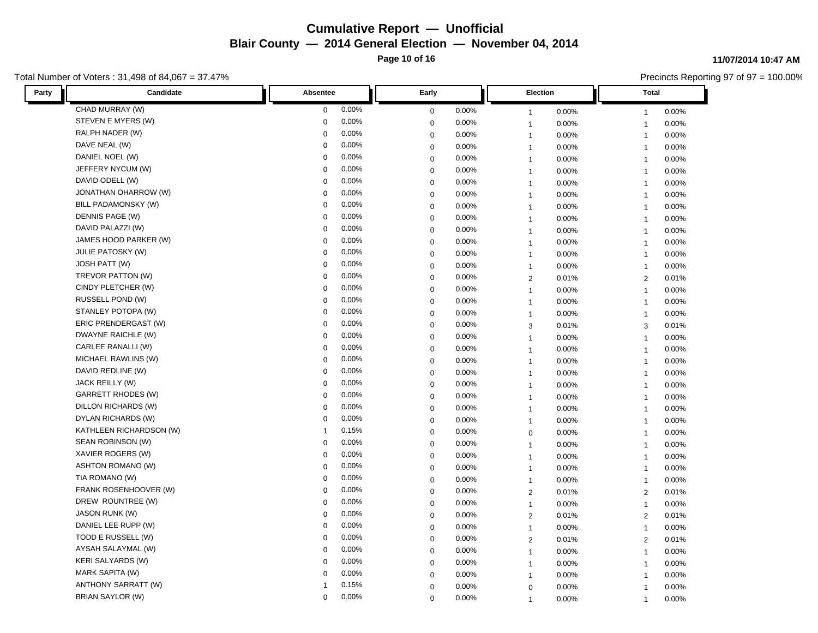**Page 10 of 16**

### Total Number of Voters : 31,498 of 84,067 = 37.47%

#### **11/07/2014 10:47 AM**

| Candidate<br>Party          | Absentee     | Early       | <b>Election</b> | Total          |
|-----------------------------|--------------|-------------|-----------------|----------------|
| CHAD MURRAY (W)             | 0.00%        | 0.00%       | 0.00%           | $0.00\%$       |
|                             | $\mathbf 0$  | $\mathbf 0$ | $\mathbf{1}$    | $\mathbf{1}$   |
| STEVEN E MYERS (W)          | 0.00%        | 0.00%       | 0.00%           | 0.00%          |
|                             | $\mathbf 0$  | $\mathbf 0$ | $\mathbf{1}$    | $\overline{1}$ |
| RALPH NADER (W)             | 0.00%        | 0.00%       | 0.00%           | 0.00%          |
|                             | $\Omega$     | $\mathbf 0$ | $\mathbf{1}$    | $\mathbf{1}$   |
| DAVE NEAL (W)               | 0.00%        | 0.00%       | 0.00%           | 0.00%          |
|                             | $\Omega$     | $\mathbf 0$ | $\mathbf{1}$    | $\mathbf{1}$   |
| DANIEL NOEL (W)             | 0.00%        | 0.00%       | 0.00%           | 0.00%          |
|                             | $\mathbf 0$  | $\mathbf 0$ | $\mathbf{1}$    | $\overline{1}$ |
| JEFFERY NYCUM (W)           | 0.00%        | $\mathbf 0$ | 0.00%           | 0.00%          |
|                             | $\mathbf 0$  | 0.00%       | $\mathbf{1}$    | $\overline{1}$ |
| DAVID ODELL (W)             | 0.00%        | 0.00%       | 0.00%           | 0.00%          |
|                             | $\Omega$     | $\mathbf 0$ | $\mathbf{1}$    | $\mathbf{1}$   |
| <b>JONATHAN OHARROW (W)</b> | 0.00%        | 0.00%       | 0.00%           | 0.00%          |
|                             | $\Omega$     | $\mathbf 0$ | $\overline{1}$  | $\overline{1}$ |
| BILL PADAMONSKY (W)         | 0.00%        | $\mathbf 0$ | 0.00%           | 0.00%          |
|                             | $\mathbf 0$  | 0.00%       | $\mathbf{1}$    | $\mathbf{1}$   |
| DENNIS PAGE (W)             | 0.00%        | 0.00%       | $\mathbf{1}$    | 0.00%          |
|                             | $\mathbf 0$  | $\mathbf 0$ | 0.00%           | $\mathbf{1}$   |
| DAVID PALAZZI (W)           | 0.00%        | 0.00%       | 0.00%           | 0.00%          |
|                             | $\mathbf 0$  | $\mathbf 0$ | $\mathbf{1}$    | $\mathbf{1}$   |
| JAMES HOOD PARKER (W)       | 0.00%        | 0.00%       | 0.00%           | 0.00%          |
|                             | $\mathbf 0$  | $\mathbf 0$ | $\mathbf{1}$    | $\mathbf{1}$   |
| <b>JULIE PATOSKY (W)</b>    | 0.00%        | 0.00%       | 0.00%           | 0.00%          |
|                             | $\Omega$     | $\mathbf 0$ | $\mathbf{1}$    | $\mathbf{1}$   |
| <b>JOSH PATT (W)</b>        | 0.00%        | 0.00%       | 0.00%           | 0.00%          |
|                             | $\Omega$     | $\mathbf 0$ | $\mathbf{1}$    | $\mathbf{1}$   |
| TREVOR PATTON (W)           | 0.00%        | 0.00%       | 0.01%           | 0.01%          |
|                             | $\Omega$     | $\mathbf 0$ | $\overline{2}$  | $\overline{2}$ |
| CINDY PLETCHER (W)          | 0.00%        | $\mathbf 0$ | 0.00%           | 0.00%          |
|                             | $\mathbf 0$  | 0.00%       | $\mathbf{1}$    | $\mathbf{1}$   |
| RUSSELL POND (W)            | 0.00%        | 0.00%       | 0.00%           | 0.00%          |
|                             | $\mathbf 0$  | $\mathbf 0$ | $\mathbf{1}$    | $\mathbf{1}$   |
| STANLEY POTOPA (W)          | 0.00%        | $\mathbf 0$ | 0.00%           | 0.00%          |
|                             | $\mathbf 0$  | 0.00%       | $\mathbf{1}$    | $\mathbf{1}$   |
| ERIC PRENDERGAST (W)        | 0.00%        | $\mathbf 0$ | $\mathbf{3}$    | 3              |
|                             | $\mathbf 0$  | 0.00%       | 0.01%           | 0.01%          |
| DWAYNE RAICHLE (W)          | 0.00%        | 0.00%       | 0.00%           | 0.00%          |
|                             | 0            | $\mathbf 0$ | $\mathbf{1}$    | $\mathbf{1}$   |
| CARLEE RANALLI (W)          | 0.00%        | $\mathbf 0$ | 0.00%           | 0.00%          |
|                             | $\mathbf 0$  | 0.00%       | $\mathbf{1}$    | $\mathbf{1}$   |
| MICHAEL RAWLINS (W)         | 0.00%        | $\mathbf 0$ | 0.00%           | 0.00%          |
|                             | $\Omega$     | 0.00%       | $\overline{1}$  | $\overline{1}$ |
| DAVID REDLINE (W)           | 0.00%        | 0.00%       | 0.00%           | 0.00%          |
|                             | $\mathbf 0$  | $\mathbf 0$ | $\mathbf{1}$    | $\mathbf{1}$   |
| JACK REILLY (W)             | 0.00%        | 0.00%       | 0.00%           | 0.00%          |
|                             | $\mathbf 0$  | $\mathbf 0$ | $\mathbf{1}$    | $\mathbf{1}$   |
| <b>GARRETT RHODES (W)</b>   | 0.00%        | 0.00%       | 0.00%           | 0.00%          |
|                             | $\Omega$     | $\mathbf 0$ | $\mathbf{1}$    | $\mathbf{1}$   |
| DILLON RICHARDS (W)         | 0.00%        | 0.00%       | 0.00%           | 0.00%          |
|                             | $\Omega$     | $\mathbf 0$ | $\mathbf{1}$    | $\overline{1}$ |
| DYLAN RICHARDS (W)          | 0.00%        | 0.00%       | 0.00%           | 0.00%          |
|                             | $\mathbf 0$  | $\mathbf 0$ | $\mathbf{1}$    | $\overline{1}$ |
| KATHLEEN RICHARDSON (W)     | 0.15%        | 0.00%       | $\pmb{0}$       | 0.00%          |
|                             | $\mathbf{1}$ | $\mathbf 0$ | 0.00%           | $\mathbf{1}$   |
| SEAN ROBINSON (W)           | 0.00%        | $\mathbf 0$ | 0.00%           | 0.00%          |
|                             | $\Omega$     | $0.00\%$    | $\overline{1}$  | $\overline{1}$ |
| XAVIER ROGERS (W)           | 0.00%        | 0.00%       | 0.00%           | 0.00%          |
|                             | $\Omega$     | $\mathbf 0$ | $\mathbf{1}$    | $\overline{1}$ |
| ASHTON ROMANO (W)           | 0.00%        | 0.00%       | 0.00%           | 0.00%          |
|                             | $\Omega$     | $\mathbf 0$ | $\mathbf{1}$    | $\mathbf{1}$   |
| TIA ROMANO (W)              | 0.00%        | 0.00%       | 0.00%           | 0.00%          |
|                             | $\mathbf 0$  | $\mathbf 0$ | $\mathbf{1}$    | $\mathbf{1}$   |
| FRANK ROSENHOOVER (W)       | 0.00%        | 0.00%       | 0.01%           | 2              |
|                             | $\mathbf 0$  | $\mathbf 0$ | 2               | 0.01%          |
| DREW ROUNTREE (W)           | 0.00%        | 0.00%       | $\mathbf{1}$    | 0.00%          |
|                             | $\mathbf 0$  | $\mathbf 0$ | 0.00%           | $\mathbf{1}$   |
| <b>JASON RUNK (W)</b>       | 0.00%        | 0.00%       | $\overline{2}$  | 0.01%          |
|                             | $\Omega$     | $\mathbf 0$ | 0.01%           | $\overline{2}$ |
| DANIEL LEE RUPP (W)         | 0.00%        | $\mathbf 0$ | 0.00%           | 0.00%          |
|                             | $\Omega$     | 0.00%       | $\mathbf{1}$    | $\overline{1}$ |
| TODD E RUSSELL (W)          | 0.00%        | $\mathbf 0$ | $\overline{2}$  | $\overline{2}$ |
|                             | $\Omega$     | 0.00%       | 0.01%           | 0.01%          |
| AYSAH SALAYMAL (W)          | 0.00%        | 0.00%       | 0.00%           | 0.00%          |
|                             | $\mathbf 0$  | $\mathbf 0$ | $\mathbf{1}$    | $\mathbf{1}$   |
| <b>KERI SALYARDS (W)</b>    | 0.00%        | 0.00%       | 0.00%           | 0.00%          |
|                             | $\mathbf 0$  | $\mathbf 0$ | $\mathbf{1}$    | $\mathbf{1}$   |
| MARK SAPITA (W)             | 0.00%        | 0.00%       | $\mathbf{1}$    | 0.00%          |
|                             | $\Omega$     | $\mathbf 0$ | 0.00%           | $\overline{1}$ |
| ANTHONY SARRATT (W)         | 0.15%        | 0.00%       | 0.00%           | 0.00%          |
|                             | $\mathbf{1}$ | $\mathbf 0$ | $\mathbf 0$     | $\overline{1}$ |
| <b>BRIAN SAYLOR (W)</b>     | 0.00%        | 0.00%       | 0.00%           | 0.00%          |
|                             | $\Omega$     | $\mathbf 0$ | $\mathbf{1}$    | $\mathbf{1}$   |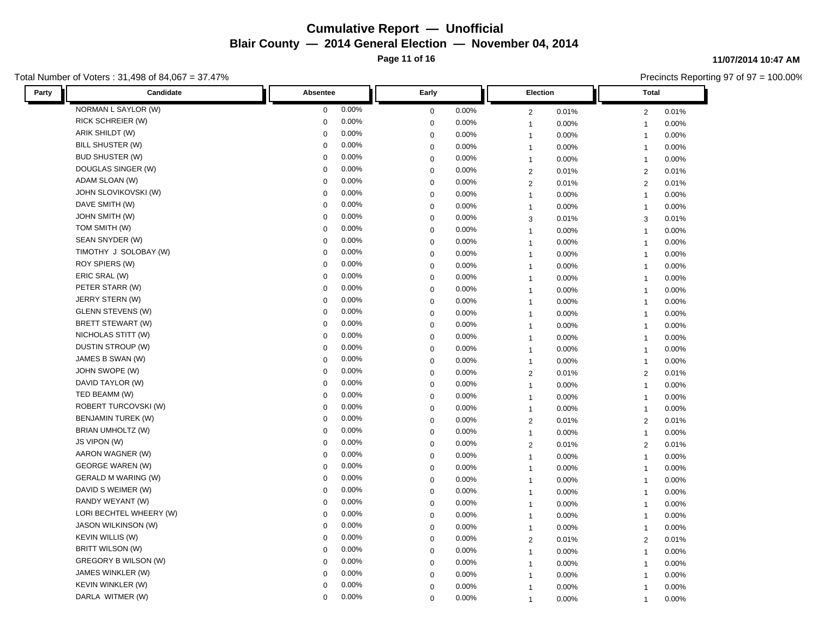**Page 11 of 16**

### Total Number of Voters : 31,498 of 84,067 = 37.47%

#### **11/07/2014 10:47 AM**

| Candidate<br>Party         | Absentee    | Early       | <b>Election</b> | Total          |  |
|----------------------------|-------------|-------------|-----------------|----------------|--|
| NORMAN L SAYLOR (W)        | 0.00%       | 0.00%       | 2               | 0.01%          |  |
|                            | $\mathbf 0$ | $\mathbf 0$ | 0.01%           | $\overline{2}$ |  |
| RICK SCHREIER (W)          | 0.00%       | 0.00%       | 0.00%           | 0.00%          |  |
|                            | $\mathbf 0$ | $\mathbf 0$ | $\mathbf{1}$    | $\overline{1}$ |  |
| ARIK SHILDT (W)            | 0.00%       | 0.00%       | 0.00%           | 0.00%          |  |
|                            | $\Omega$    | $\mathbf 0$ | $\mathbf{1}$    | $\mathbf{1}$   |  |
| BILL SHUSTER (W)           | 0.00%       | 0.00%       | 0.00%           | 0.00%          |  |
|                            | $\Omega$    | $\mathbf 0$ | $\mathbf{1}$    | $\mathbf{1}$   |  |
| <b>BUD SHUSTER (W)</b>     | 0.00%       | 0.00%       | 0.00%           | 0.00%          |  |
|                            | $\mathbf 0$ | $\mathbf 0$ | $\mathbf{1}$    | $\mathbf{1}$   |  |
| DOUGLAS SINGER (W)         | 0.00%       | $\mathbf 0$ | $\overline{2}$  | $\overline{2}$ |  |
|                            | $\mathbf 0$ | 0.00%       | 0.01%           | 0.01%          |  |
| ADAM SLOAN (W)             | 0.00%       | 0.00%       | $\overline{2}$  | $\overline{2}$ |  |
|                            | $\Omega$    | $\mathbf 0$ | 0.01%           | 0.01%          |  |
| JOHN SLOVIKOVSKI (W)       | 0.00%       | 0.00%       | 0.00%           | 0.00%          |  |
|                            | $\Omega$    | $\mathbf 0$ | $\mathbf{1}$    | $\overline{1}$ |  |
| DAVE SMITH (W)             | 0.00%       | $\mathbf 0$ | 0.00%           | 0.00%          |  |
|                            | $\pmb{0}$   | 0.00%       | $\mathbf{1}$    | $\mathbf{1}$   |  |
| <b>JOHN SMITH (W)</b>      | 0.00%       | 0.00%       | 3               | 3              |  |
|                            | $\mathbf 0$ | $\mathbf 0$ | 0.01%           | 0.01%          |  |
| TOM SMITH (W)              | 0.00%       | 0.00%       | 0.00%           | 0.00%          |  |
|                            | $\mathbf 0$ | $\mathbf 0$ | $\mathbf{1}$    | $\mathbf{1}$   |  |
| SEAN SNYDER (W)            | 0.00%       | 0.00%       | 0.00%           | 0.00%          |  |
|                            | $\Omega$    | $\mathbf 0$ | $\mathbf{1}$    | $\mathbf{1}$   |  |
| TIMOTHY J SOLOBAY (W)      | 0.00%       | 0.00%       | 0.00%           | 0.00%          |  |
|                            | $\mathbf 0$ | $\mathbf 0$ | $\mathbf{1}$    | $\mathbf{1}$   |  |
| ROY SPIERS (W)             | 0.00%       | 0.00%       | 0.00%           | 0.00%          |  |
|                            | $\Omega$    | $\mathbf 0$ | $\mathbf{1}$    | $\mathbf{1}$   |  |
| ERIC SRAL (W)              | 0.00%       | $\mathbf 0$ | 0.00%           | 0.00%          |  |
|                            | $\Omega$    | 0.00%       | $\mathbf{1}$    | $\overline{1}$ |  |
| PETER STARR (W)            | 0.00%       | $\mathbf 0$ | 0.00%           | 0.00%          |  |
|                            | $\mathbf 0$ | 0.00%       | $\mathbf{1}$    | $\mathbf{1}$   |  |
| JERRY STERN (W)            | 0.00%       | 0.00%       | 0.00%           | 0.00%          |  |
|                            | $\mathbf 0$ | $\mathbf 0$ | $\mathbf{1}$    | $\mathbf{1}$   |  |
| <b>GLENN STEVENS (W)</b>   | 0.00%       | $\mathbf 0$ | 0.00%           | 0.00%          |  |
|                            | $\Omega$    | 0.00%       | $\mathbf{1}$    | $\mathbf{1}$   |  |
| <b>BRETT STEWART (W)</b>   | 0.00%       | $\mathbf 0$ | $\mathbf{1}$    | 0.00%          |  |
|                            | $\Omega$    | 0.00%       | 0.00%           | $\mathbf{1}$   |  |
| NICHOLAS STITT (W)         | 0.00%       | 0.00%       | 0.00%           | 0.00%          |  |
|                            | $\mathbf 0$ | $\mathbf 0$ | $\mathbf{1}$    | $\mathbf{1}$   |  |
| DUSTIN STROUP (W)          | 0.00%       | $\mathbf 0$ | 0.00%           | 0.00%          |  |
|                            | $\mathbf 0$ | 0.00%       | $\mathbf{1}$    | $\mathbf{1}$   |  |
| JAMES B SWAN (W)           | 0.00%       | $\mathbf 0$ | 0.00%           | 0.00%          |  |
|                            | $\Omega$    | 0.00%       | $\mathbf{1}$    | $\overline{1}$ |  |
| JOHN SWOPE (W)             | 0.00%       | 0.00%       | 0.01%           | 0.01%          |  |
|                            | $\Omega$    | $\mathbf 0$ | $\overline{2}$  | $\overline{2}$ |  |
| DAVID TAYLOR (W)           | 0.00%       | 0.00%       | 0.00%           | 0.00%          |  |
|                            | 0           | $\mathbf 0$ | $\mathbf{1}$    | $\mathbf{1}$   |  |
| TED BEAMM (W)              | 0.00%       | 0.00%       | 0.00%           | 0.00%          |  |
|                            | $\Omega$    | $\mathbf 0$ | $\mathbf{1}$    | $\mathbf{1}$   |  |
| ROBERT TURCOVSKI (W)       | 0.00%       | 0.00%       | 0.00%           | 0.00%          |  |
|                            | $\Omega$    | $\mathbf 0$ | $\mathbf{1}$    | $\mathbf{1}$   |  |
| <b>BENJAMIN TUREK (W)</b>  | 0.00%       | 0.00%       | $\overline{2}$  | 0.01%          |  |
|                            | $\mathbf 0$ | $\mathbf 0$ | 0.01%           | $\overline{2}$ |  |
| BRIAN UMHOLTZ (W)          | 0.00%       | 0.00%       | $\mathbf{1}$    | 0.00%          |  |
|                            | $\Omega$    | $\mathbf 0$ | 0.00%           | $\mathbf{1}$   |  |
| JS VIPON (W)               | 0.00%       | $\mathbf 0$ | $\overline{2}$  | $\overline{2}$ |  |
|                            | $\Omega$    | 0.00%       | 0.01%           | 0.01%          |  |
| AARON WAGNER (W)           | 0.00%       | 0.00%       | 0.00%           | 0.00%          |  |
|                            | $\Omega$    | $\mathbf 0$ | $\mathbf{1}$    | $\overline{1}$ |  |
| <b>GEORGE WAREN (W)</b>    | 0.00%       | 0.00%       | 0.00%           | 0.00%          |  |
|                            | $\mathbf 0$ | $\mathbf 0$ | $\mathbf{1}$    | $\mathbf{1}$   |  |
| <b>GERALD M WARING (W)</b> | 0.00%       | 0.00%       | 0.00%           | 0.00%          |  |
|                            | $\mathbf 0$ | $\mathbf 0$ | $\mathbf{1}$    | $\mathbf{1}$   |  |
| DAVID S WEIMER (W)         | 0.00%       | $\mathbf 0$ | 0.00%           | $0.00\%$       |  |
|                            | $\mathbf 0$ | 0.00%       | $\mathbf{1}$    | $\mathbf{1}$   |  |
| RANDY WEYANT (W)           | 0.00%       | $\mathbf 0$ | 0.00%           | 0.00%          |  |
|                            | $\mathbf 0$ | 0.00%       | $\mathbf{1}$    | $\mathbf{1}$   |  |
| LORI BECHTEL WHEERY (W)    | 0.00%       | 0.00%       | 0.00%           | 0.00%          |  |
|                            | $\Omega$    | $\mathbf 0$ | $\mathbf{1}$    | $\mathbf{1}$   |  |
| JASON WILKINSON (W)        | 0.00%       | $\mathbf 0$ | 0.00%           | 0.00%          |  |
|                            | $\Omega$    | 0.00%       | $\mathbf{1}$    | $\mathbf{1}$   |  |
| <b>KEVIN WILLIS (W)</b>    | 0.00%       | $\mathbf 0$ | $\overline{2}$  | $\overline{2}$ |  |
|                            | $\Omega$    | 0.00%       | 0.01%           | 0.01%          |  |
| BRITT WILSON (W)           | 0.00%       | 0.00%       | 0.00%           | 0.00%          |  |
|                            | $\mathbf 0$ | $\mathbf 0$ | $\mathbf{1}$    | $\mathbf{1}$   |  |
| GREGORY B WILSON (W)       | 0.00%       | 0.00%       | 0.00%           | 0.00%          |  |
|                            | $\Omega$    | $\mathbf 0$ | $\mathbf{1}$    | $\mathbf{1}$   |  |
| JAMES WINKLER (W)          | 0.00%       | 0.00%       | 0.00%           | 0.00%          |  |
|                            | $\Omega$    | $\mathbf 0$ | $\mathbf{1}$    | $\overline{1}$ |  |
| KEVIN WINKLER (W)          | 0.00%       | 0.00%       | 0.00%           | 0.00%          |  |
|                            | $\Omega$    | $\mathbf 0$ | $\mathbf{1}$    | $\overline{1}$ |  |
| DARLA WITMER (W)           | 0.00%       | 0.00%       | 0.00%           | 0.00%          |  |
|                            | $\Omega$    | $\Omega$    | $\mathbf{1}$    | $\mathbf{1}$   |  |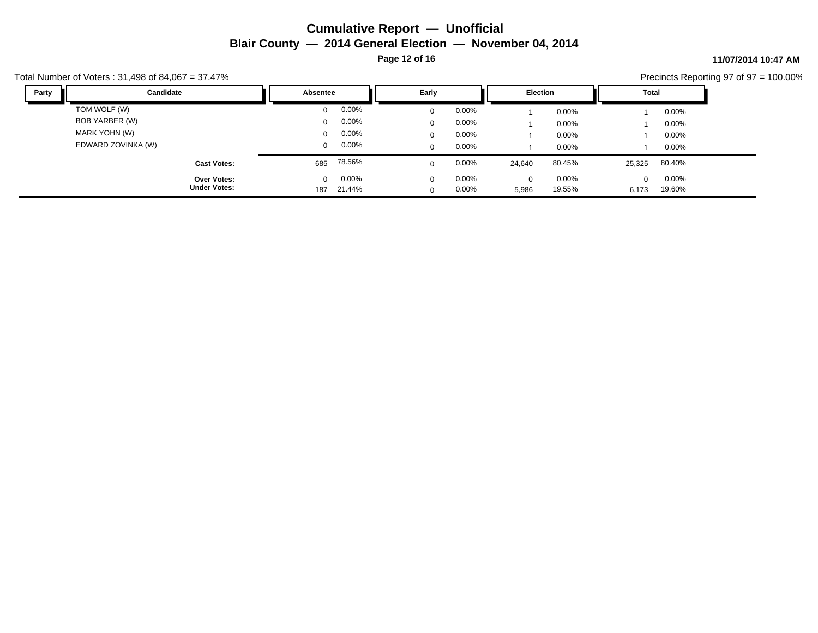**Page 12 of 16**

### **11/07/2014 10:47 AM**

Precincts Reporting 97 of 97 = 100.00%

| Party | Candidate                           | Absentee             |                      | Early                   |                | <b>Election</b>   |                 | Total             |                 |
|-------|-------------------------------------|----------------------|----------------------|-------------------------|----------------|-------------------|-----------------|-------------------|-----------------|
|       | TOM WOLF (W)<br>BOB YARBER (W)      | $\Omega$<br>$\Omega$ | $0.00\%$<br>$0.00\%$ | $\mathbf 0$<br>$\Omega$ | 0.00%<br>0.00% |                   | 0.00%<br>0.00%  |                   | 0.00%<br>0.00%  |
|       | MARK YOHN (W)<br>EDWARD ZOVINKA (W) | $\Omega$<br>$\Omega$ | $0.00\%$<br>$0.00\%$ | 0<br>$\mathbf 0$        | 0.00%<br>0.00% |                   | 0.00%<br>0.00%  |                   | 0.00%<br>0.00%  |
|       | <b>Cast Votes:</b>                  | 685                  | 78.56%               | $\Omega$                | 0.00%          | 24,640            | 80.45%          | 25,325            | 80.40%          |
|       | Over Votes:<br><b>Under Votes:</b>  | $\Omega$<br>187      | $0.00\%$<br>21.44%   | $\Omega$<br>$\Omega$    | 0.00%<br>0.00% | $\Omega$<br>5,986 | 0.00%<br>19.55% | $\Omega$<br>6,173 | 0.00%<br>19.60% |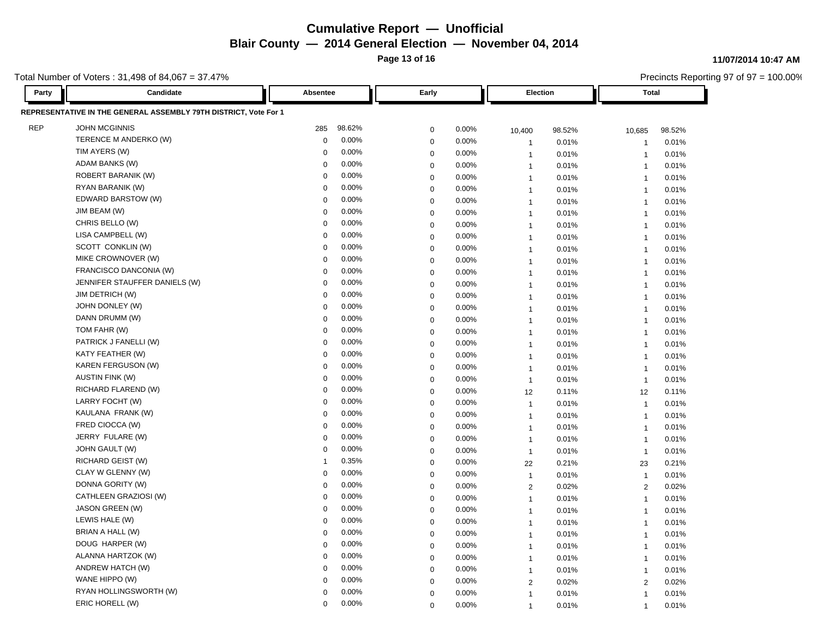**Page 13 of 16**

**11/07/2014 10:47 AM**

Precincts Reporting 97 of 97 = 100.00%

| <b>JOHN MCGINNIS</b><br>98.62%<br>285<br>$\mathbf 0$<br>0.00%<br>98.52%<br>98.52%<br>10,400<br>10,685<br>TERENCE M ANDERKO (W)<br>0.00%<br>$\Omega$<br>$\mathbf 0$<br>0.00%<br>0.01%<br>0.01%<br>$\overline{1}$<br>$\mathbf{1}$<br>TIM AYERS (W)<br>0.00%<br>$\Omega$<br>0.00%<br>$\boldsymbol{0}$<br>0.01%<br>0.01%<br>$\overline{1}$<br>$\mathbf{1}$<br>ADAM BANKS (W)<br>0.00%<br>$\mathbf 0$<br>$\mathbf 0$<br>0.00%<br>0.01%<br>0.01%<br>$\overline{1}$<br>$\mathbf{1}$<br>ROBERT BARANIK (W)<br>0.00%<br>$\Omega$<br>0.00%<br>$\mathbf 0$<br>0.01%<br>0.01%<br>$\overline{1}$<br>$\mathbf{1}$<br>RYAN BARANIK (W)<br>0.00%<br>$\mathbf 0$<br>$\mathbf 0$<br>0.00%<br>0.01%<br>0.01%<br>$\overline{1}$<br>$\mathbf{1}$<br>EDWARD BARSTOW (W)<br>0.00%<br>$\Omega$<br>$\mathbf 0$<br>0.00%<br>0.01%<br>0.01%<br>$\overline{1}$<br>$\mathbf{1}$<br>JIM BEAM (W)<br>0.00%<br>$\Omega$<br>0.00%<br>$\boldsymbol{0}$<br>0.01%<br>0.01%<br>$\mathbf{1}$<br>$\overline{1}$<br>CHRIS BELLO (W)<br>0.00%<br>$\mathbf 0$<br>$\mathbf 0$<br>0.00%<br>0.01%<br>0.01%<br>$\overline{1}$<br>$\mathbf{1}$<br>LISA CAMPBELL (W)<br>0.00%<br>$\Omega$<br>$\mathbf 0$<br>0.00%<br>0.01%<br>0.01%<br>$\overline{1}$<br>$\mathbf{1}$<br>SCOTT CONKLIN (W)<br>0.00%<br>$\Omega$<br>$\pmb{0}$<br>0.00%<br>0.01%<br>0.01%<br>$\mathbf{1}$<br>$\overline{1}$<br>MIKE CROWNOVER (W)<br>0.00%<br>$\mathbf 0$<br>$\mathbf 0$<br>0.00%<br>0.01%<br>0.01%<br>$\overline{1}$<br>$\mathbf{1}$<br>FRANCISCO DANCONIA (W)<br>0.00%<br>$\Omega$<br>$\mathbf 0$<br>0.00%<br>0.01%<br>0.01%<br>$\mathbf{1}$<br>$\overline{1}$<br>JENNIFER STAUFFER DANIELS (W)<br>0.00%<br>$\Omega$<br>$\mathbf 0$<br>0.00%<br>0.01%<br>0.01%<br>$\overline{1}$<br>$\mathbf{1}$<br><b>JIM DETRICH (W)</b><br>0.00%<br>$\Omega$<br>$\mathbf 0$<br>0.00%<br>0.01%<br>0.01%<br>$\overline{1}$<br>$\mathbf{1}$<br>JOHN DONLEY (W)<br>0.00%<br>$\Omega$<br>$\boldsymbol{0}$<br>0.00%<br>0.01%<br>0.01%<br>$\mathbf{1}$<br>$\overline{1}$<br>DANN DRUMM (W)<br>0.00%<br>$\mathbf 0$<br>$\mathbf 0$<br>0.00%<br>0.01%<br>0.01%<br>$\overline{1}$<br>$\mathbf{1}$<br>TOM FAHR (W)<br>0.00%<br>$\Omega$<br>$\mathbf 0$<br>0.00%<br>0.01%<br>0.01%<br>$\mathbf{1}$<br>$\overline{1}$<br>PATRICK J FANELLI (W)<br>0.00%<br>$\Omega$<br>$\pmb{0}$<br>$0.00\%$<br>0.01%<br>0.01%<br>$\mathbf{1}$<br>$\overline{1}$<br>KATY FEATHER (W)<br>0.00%<br>$\mathbf 0$<br>$\boldsymbol{0}$<br>0.00%<br>0.01%<br>0.01%<br>$\overline{1}$<br>$\mathbf{1}$<br>KAREN FERGUSON (W)<br>0.00%<br>$\Omega$<br>$\mathbf 0$<br>0.00%<br>0.01%<br>0.01%<br>$\mathbf{1}$<br>$\overline{1}$<br>0.00%<br><b>AUSTIN FINK (W)</b><br>$\mathbf 0$<br>$\mathbf 0$<br>0.00%<br>0.01%<br>0.01%<br>$\mathbf{1}$<br>$\overline{\mathbf{1}}$<br>RICHARD FLAREND (W)<br>0.00%<br>$\mathbf 0$<br>0.00%<br>$\mathbf 0$<br>12<br>0.11%<br>0.11%<br>12<br>LARRY FOCHT (W)<br>0.00%<br>$\Omega$<br>$\boldsymbol{0}$<br>0.00%<br>0.01%<br>0.01%<br>$\mathbf{1}$<br>$\overline{1}$<br>0.00%<br>KAULANA FRANK (W)<br>$\mathbf 0$<br>$\mathbf 0$<br>0.00%<br>0.01%<br>0.01%<br>$\overline{1}$<br>$\mathbf{1}$<br>FRED CIOCCA (W)<br>0.00%<br>$\Omega$<br>$\boldsymbol{0}$<br>0.00%<br>0.01%<br>0.01%<br>$\overline{1}$<br>$\overline{1}$<br>JERRY FULARE (W)<br>0.00%<br>$\mathbf 0$<br>$\pmb{0}$<br>0.00%<br>0.01%<br>0.01%<br>$\overline{1}$<br>$\mathbf{1}$<br><b>JOHN GAULT (W)</b><br>0.00%<br>$\mathbf 0$<br>$\mathbf 0$<br>0.00%<br>0.01%<br>0.01%<br>$\overline{1}$<br>$\mathbf{1}$<br>RICHARD GEIST (W)<br>0.35%<br>0.00%<br>$\mathbf 0$<br>0.21%<br>0.21%<br>22<br>23<br>CLAY W GLENNY (W)<br>0.00%<br>$\mathbf 0$<br>$\boldsymbol{0}$<br>0.00%<br>0.01%<br>0.01%<br>$\mathbf{1}$<br>$\overline{1}$<br>DONNA GORITY (W)<br>0.00%<br>$\mathbf 0$<br>$\mathbf 0$<br>0.00%<br>0.02%<br>0.02%<br>2<br>2<br>CATHLEEN GRAZIOSI (W)<br>0.00%<br>$\Omega$<br>0.00%<br>$\mathbf 0$<br>0.01%<br>0.01%<br>$\mathbf{1}$<br>$\overline{1}$<br>JASON GREEN (W)<br>0.00%<br>$\mathbf 0$<br>$\mathbf 0$<br>0.00%<br>0.01%<br>0.01%<br>$\overline{1}$<br>$\mathbf{1}$<br>LEWIS HALE (W)<br>0.00%<br>$\Omega$<br>$\mathbf 0$<br>0.00%<br>0.01%<br>0.01%<br>$\mathbf{1}$<br>$\overline{1}$<br>BRIAN A HALL (W)<br>0.00%<br>$\Omega$<br>$\mathbf 0$<br>$0.00\%$<br>0.01%<br>0.01%<br>$\overline{1}$<br>$\mathbf{1}$<br>DOUG HARPER (W)<br>0.00%<br>$\mathbf 0$<br>$\boldsymbol{0}$<br>0.00%<br>0.01%<br>0.01%<br>$\overline{1}$<br>$\overline{1}$<br>ALANNA HARTZOK (W)<br>0.00%<br>$\Omega$<br>$\mathbf 0$<br>0.00%<br>0.01%<br>0.01%<br>$\mathbf{1}$<br>$\overline{1}$<br>ANDREW HATCH (W)<br>0.00%<br>$\mathbf 0$<br>$\mathbf 0$<br>0.00%<br>0.01%<br>0.01%<br>$\overline{1}$<br>$\mathbf{1}$<br>WANE HIPPO (W)<br>0.00%<br>$\mathbf 0$<br>$\mathbf 0$<br>0.00%<br>0.02%<br>0.02%<br>$\overline{2}$<br>2<br>RYAN HOLLINGSWORTH (W)<br>0.00%<br>$\Omega$<br>$\mathbf 0$<br>0.00%<br>0.01%<br>0.01%<br>$\overline{1}$<br>$\overline{1}$<br>ERIC HORELL (W)<br>0.00%<br>$\mathbf 0$<br>0.00%<br>$\Omega$<br>0.01%<br>0.01%<br>$\overline{1}$<br>$\mathbf{1}$ | Candidate<br>Party                                               | Absentee | Early |  | Election |  | <b>Total</b> |  |  |
|-----------------------------------------------------------------------------------------------------------------------------------------------------------------------------------------------------------------------------------------------------------------------------------------------------------------------------------------------------------------------------------------------------------------------------------------------------------------------------------------------------------------------------------------------------------------------------------------------------------------------------------------------------------------------------------------------------------------------------------------------------------------------------------------------------------------------------------------------------------------------------------------------------------------------------------------------------------------------------------------------------------------------------------------------------------------------------------------------------------------------------------------------------------------------------------------------------------------------------------------------------------------------------------------------------------------------------------------------------------------------------------------------------------------------------------------------------------------------------------------------------------------------------------------------------------------------------------------------------------------------------------------------------------------------------------------------------------------------------------------------------------------------------------------------------------------------------------------------------------------------------------------------------------------------------------------------------------------------------------------------------------------------------------------------------------------------------------------------------------------------------------------------------------------------------------------------------------------------------------------------------------------------------------------------------------------------------------------------------------------------------------------------------------------------------------------------------------------------------------------------------------------------------------------------------------------------------------------------------------------------------------------------------------------------------------------------------------------------------------------------------------------------------------------------------------------------------------------------------------------------------------------------------------------------------------------------------------------------------------------------------------------------------------------------------------------------------------------------------------------------------------------------------------------------------------------------------------------------------------------------------------------------------------------------------------------------------------------------------------------------------------------------------------------------------------------------------------------------------------------------------------------------------------------------------------------------------------------------------------------------------------------------------------------------------------------------------------------------------------------------------------------------------------------------------------------------------------------------------------------------------------------------------------------------------------------------------------------------------------------------------------------------------------------------------------------------------------------------------------------------------------------------------------------------------------------------------------------------------------------------------------------------------------------------------------------------------------------------------------------------------------------------------------------------------------------------------------------------------------------------------------------------------------------------------------------------------------------------------------------------------------------------------------------------------------------------------------------------------------------------------------------------------------------------------------------------------------------------------------------------------------------------------------------------------------------------------------------------------------------------------------------------------------------------|------------------------------------------------------------------|----------|-------|--|----------|--|--------------|--|--|
|                                                                                                                                                                                                                                                                                                                                                                                                                                                                                                                                                                                                                                                                                                                                                                                                                                                                                                                                                                                                                                                                                                                                                                                                                                                                                                                                                                                                                                                                                                                                                                                                                                                                                                                                                                                                                                                                                                                                                                                                                                                                                                                                                                                                                                                                                                                                                                                                                                                                                                                                                                                                                                                                                                                                                                                                                                                                                                                                                                                                                                                                                                                                                                                                                                                                                                                                                                                                                                                                                                                                                                                                                                                                                                                                                                                                                                                                                                                                                                                                                                                                                                                                                                                                                                                                                                                                                                                                                                                                                                                                                                                                                                                                                                                                                                                                                                                                                                                                                                                                                                               | REPRESENTATIVE IN THE GENERAL ASSEMBLY 79TH DISTRICT, Vote For 1 |          |       |  |          |  |              |  |  |
|                                                                                                                                                                                                                                                                                                                                                                                                                                                                                                                                                                                                                                                                                                                                                                                                                                                                                                                                                                                                                                                                                                                                                                                                                                                                                                                                                                                                                                                                                                                                                                                                                                                                                                                                                                                                                                                                                                                                                                                                                                                                                                                                                                                                                                                                                                                                                                                                                                                                                                                                                                                                                                                                                                                                                                                                                                                                                                                                                                                                                                                                                                                                                                                                                                                                                                                                                                                                                                                                                                                                                                                                                                                                                                                                                                                                                                                                                                                                                                                                                                                                                                                                                                                                                                                                                                                                                                                                                                                                                                                                                                                                                                                                                                                                                                                                                                                                                                                                                                                                                                               | <b>REP</b>                                                       |          |       |  |          |  |              |  |  |
|                                                                                                                                                                                                                                                                                                                                                                                                                                                                                                                                                                                                                                                                                                                                                                                                                                                                                                                                                                                                                                                                                                                                                                                                                                                                                                                                                                                                                                                                                                                                                                                                                                                                                                                                                                                                                                                                                                                                                                                                                                                                                                                                                                                                                                                                                                                                                                                                                                                                                                                                                                                                                                                                                                                                                                                                                                                                                                                                                                                                                                                                                                                                                                                                                                                                                                                                                                                                                                                                                                                                                                                                                                                                                                                                                                                                                                                                                                                                                                                                                                                                                                                                                                                                                                                                                                                                                                                                                                                                                                                                                                                                                                                                                                                                                                                                                                                                                                                                                                                                                                               |                                                                  |          |       |  |          |  |              |  |  |
|                                                                                                                                                                                                                                                                                                                                                                                                                                                                                                                                                                                                                                                                                                                                                                                                                                                                                                                                                                                                                                                                                                                                                                                                                                                                                                                                                                                                                                                                                                                                                                                                                                                                                                                                                                                                                                                                                                                                                                                                                                                                                                                                                                                                                                                                                                                                                                                                                                                                                                                                                                                                                                                                                                                                                                                                                                                                                                                                                                                                                                                                                                                                                                                                                                                                                                                                                                                                                                                                                                                                                                                                                                                                                                                                                                                                                                                                                                                                                                                                                                                                                                                                                                                                                                                                                                                                                                                                                                                                                                                                                                                                                                                                                                                                                                                                                                                                                                                                                                                                                                               |                                                                  |          |       |  |          |  |              |  |  |
|                                                                                                                                                                                                                                                                                                                                                                                                                                                                                                                                                                                                                                                                                                                                                                                                                                                                                                                                                                                                                                                                                                                                                                                                                                                                                                                                                                                                                                                                                                                                                                                                                                                                                                                                                                                                                                                                                                                                                                                                                                                                                                                                                                                                                                                                                                                                                                                                                                                                                                                                                                                                                                                                                                                                                                                                                                                                                                                                                                                                                                                                                                                                                                                                                                                                                                                                                                                                                                                                                                                                                                                                                                                                                                                                                                                                                                                                                                                                                                                                                                                                                                                                                                                                                                                                                                                                                                                                                                                                                                                                                                                                                                                                                                                                                                                                                                                                                                                                                                                                                                               |                                                                  |          |       |  |          |  |              |  |  |
|                                                                                                                                                                                                                                                                                                                                                                                                                                                                                                                                                                                                                                                                                                                                                                                                                                                                                                                                                                                                                                                                                                                                                                                                                                                                                                                                                                                                                                                                                                                                                                                                                                                                                                                                                                                                                                                                                                                                                                                                                                                                                                                                                                                                                                                                                                                                                                                                                                                                                                                                                                                                                                                                                                                                                                                                                                                                                                                                                                                                                                                                                                                                                                                                                                                                                                                                                                                                                                                                                                                                                                                                                                                                                                                                                                                                                                                                                                                                                                                                                                                                                                                                                                                                                                                                                                                                                                                                                                                                                                                                                                                                                                                                                                                                                                                                                                                                                                                                                                                                                                               |                                                                  |          |       |  |          |  |              |  |  |
|                                                                                                                                                                                                                                                                                                                                                                                                                                                                                                                                                                                                                                                                                                                                                                                                                                                                                                                                                                                                                                                                                                                                                                                                                                                                                                                                                                                                                                                                                                                                                                                                                                                                                                                                                                                                                                                                                                                                                                                                                                                                                                                                                                                                                                                                                                                                                                                                                                                                                                                                                                                                                                                                                                                                                                                                                                                                                                                                                                                                                                                                                                                                                                                                                                                                                                                                                                                                                                                                                                                                                                                                                                                                                                                                                                                                                                                                                                                                                                                                                                                                                                                                                                                                                                                                                                                                                                                                                                                                                                                                                                                                                                                                                                                                                                                                                                                                                                                                                                                                                                               |                                                                  |          |       |  |          |  |              |  |  |
|                                                                                                                                                                                                                                                                                                                                                                                                                                                                                                                                                                                                                                                                                                                                                                                                                                                                                                                                                                                                                                                                                                                                                                                                                                                                                                                                                                                                                                                                                                                                                                                                                                                                                                                                                                                                                                                                                                                                                                                                                                                                                                                                                                                                                                                                                                                                                                                                                                                                                                                                                                                                                                                                                                                                                                                                                                                                                                                                                                                                                                                                                                                                                                                                                                                                                                                                                                                                                                                                                                                                                                                                                                                                                                                                                                                                                                                                                                                                                                                                                                                                                                                                                                                                                                                                                                                                                                                                                                                                                                                                                                                                                                                                                                                                                                                                                                                                                                                                                                                                                                               |                                                                  |          |       |  |          |  |              |  |  |
|                                                                                                                                                                                                                                                                                                                                                                                                                                                                                                                                                                                                                                                                                                                                                                                                                                                                                                                                                                                                                                                                                                                                                                                                                                                                                                                                                                                                                                                                                                                                                                                                                                                                                                                                                                                                                                                                                                                                                                                                                                                                                                                                                                                                                                                                                                                                                                                                                                                                                                                                                                                                                                                                                                                                                                                                                                                                                                                                                                                                                                                                                                                                                                                                                                                                                                                                                                                                                                                                                                                                                                                                                                                                                                                                                                                                                                                                                                                                                                                                                                                                                                                                                                                                                                                                                                                                                                                                                                                                                                                                                                                                                                                                                                                                                                                                                                                                                                                                                                                                                                               |                                                                  |          |       |  |          |  |              |  |  |
|                                                                                                                                                                                                                                                                                                                                                                                                                                                                                                                                                                                                                                                                                                                                                                                                                                                                                                                                                                                                                                                                                                                                                                                                                                                                                                                                                                                                                                                                                                                                                                                                                                                                                                                                                                                                                                                                                                                                                                                                                                                                                                                                                                                                                                                                                                                                                                                                                                                                                                                                                                                                                                                                                                                                                                                                                                                                                                                                                                                                                                                                                                                                                                                                                                                                                                                                                                                                                                                                                                                                                                                                                                                                                                                                                                                                                                                                                                                                                                                                                                                                                                                                                                                                                                                                                                                                                                                                                                                                                                                                                                                                                                                                                                                                                                                                                                                                                                                                                                                                                                               |                                                                  |          |       |  |          |  |              |  |  |
|                                                                                                                                                                                                                                                                                                                                                                                                                                                                                                                                                                                                                                                                                                                                                                                                                                                                                                                                                                                                                                                                                                                                                                                                                                                                                                                                                                                                                                                                                                                                                                                                                                                                                                                                                                                                                                                                                                                                                                                                                                                                                                                                                                                                                                                                                                                                                                                                                                                                                                                                                                                                                                                                                                                                                                                                                                                                                                                                                                                                                                                                                                                                                                                                                                                                                                                                                                                                                                                                                                                                                                                                                                                                                                                                                                                                                                                                                                                                                                                                                                                                                                                                                                                                                                                                                                                                                                                                                                                                                                                                                                                                                                                                                                                                                                                                                                                                                                                                                                                                                                               |                                                                  |          |       |  |          |  |              |  |  |
|                                                                                                                                                                                                                                                                                                                                                                                                                                                                                                                                                                                                                                                                                                                                                                                                                                                                                                                                                                                                                                                                                                                                                                                                                                                                                                                                                                                                                                                                                                                                                                                                                                                                                                                                                                                                                                                                                                                                                                                                                                                                                                                                                                                                                                                                                                                                                                                                                                                                                                                                                                                                                                                                                                                                                                                                                                                                                                                                                                                                                                                                                                                                                                                                                                                                                                                                                                                                                                                                                                                                                                                                                                                                                                                                                                                                                                                                                                                                                                                                                                                                                                                                                                                                                                                                                                                                                                                                                                                                                                                                                                                                                                                                                                                                                                                                                                                                                                                                                                                                                                               |                                                                  |          |       |  |          |  |              |  |  |
|                                                                                                                                                                                                                                                                                                                                                                                                                                                                                                                                                                                                                                                                                                                                                                                                                                                                                                                                                                                                                                                                                                                                                                                                                                                                                                                                                                                                                                                                                                                                                                                                                                                                                                                                                                                                                                                                                                                                                                                                                                                                                                                                                                                                                                                                                                                                                                                                                                                                                                                                                                                                                                                                                                                                                                                                                                                                                                                                                                                                                                                                                                                                                                                                                                                                                                                                                                                                                                                                                                                                                                                                                                                                                                                                                                                                                                                                                                                                                                                                                                                                                                                                                                                                                                                                                                                                                                                                                                                                                                                                                                                                                                                                                                                                                                                                                                                                                                                                                                                                                                               |                                                                  |          |       |  |          |  |              |  |  |
|                                                                                                                                                                                                                                                                                                                                                                                                                                                                                                                                                                                                                                                                                                                                                                                                                                                                                                                                                                                                                                                                                                                                                                                                                                                                                                                                                                                                                                                                                                                                                                                                                                                                                                                                                                                                                                                                                                                                                                                                                                                                                                                                                                                                                                                                                                                                                                                                                                                                                                                                                                                                                                                                                                                                                                                                                                                                                                                                                                                                                                                                                                                                                                                                                                                                                                                                                                                                                                                                                                                                                                                                                                                                                                                                                                                                                                                                                                                                                                                                                                                                                                                                                                                                                                                                                                                                                                                                                                                                                                                                                                                                                                                                                                                                                                                                                                                                                                                                                                                                                                               |                                                                  |          |       |  |          |  |              |  |  |
|                                                                                                                                                                                                                                                                                                                                                                                                                                                                                                                                                                                                                                                                                                                                                                                                                                                                                                                                                                                                                                                                                                                                                                                                                                                                                                                                                                                                                                                                                                                                                                                                                                                                                                                                                                                                                                                                                                                                                                                                                                                                                                                                                                                                                                                                                                                                                                                                                                                                                                                                                                                                                                                                                                                                                                                                                                                                                                                                                                                                                                                                                                                                                                                                                                                                                                                                                                                                                                                                                                                                                                                                                                                                                                                                                                                                                                                                                                                                                                                                                                                                                                                                                                                                                                                                                                                                                                                                                                                                                                                                                                                                                                                                                                                                                                                                                                                                                                                                                                                                                                               |                                                                  |          |       |  |          |  |              |  |  |
|                                                                                                                                                                                                                                                                                                                                                                                                                                                                                                                                                                                                                                                                                                                                                                                                                                                                                                                                                                                                                                                                                                                                                                                                                                                                                                                                                                                                                                                                                                                                                                                                                                                                                                                                                                                                                                                                                                                                                                                                                                                                                                                                                                                                                                                                                                                                                                                                                                                                                                                                                                                                                                                                                                                                                                                                                                                                                                                                                                                                                                                                                                                                                                                                                                                                                                                                                                                                                                                                                                                                                                                                                                                                                                                                                                                                                                                                                                                                                                                                                                                                                                                                                                                                                                                                                                                                                                                                                                                                                                                                                                                                                                                                                                                                                                                                                                                                                                                                                                                                                                               |                                                                  |          |       |  |          |  |              |  |  |
|                                                                                                                                                                                                                                                                                                                                                                                                                                                                                                                                                                                                                                                                                                                                                                                                                                                                                                                                                                                                                                                                                                                                                                                                                                                                                                                                                                                                                                                                                                                                                                                                                                                                                                                                                                                                                                                                                                                                                                                                                                                                                                                                                                                                                                                                                                                                                                                                                                                                                                                                                                                                                                                                                                                                                                                                                                                                                                                                                                                                                                                                                                                                                                                                                                                                                                                                                                                                                                                                                                                                                                                                                                                                                                                                                                                                                                                                                                                                                                                                                                                                                                                                                                                                                                                                                                                                                                                                                                                                                                                                                                                                                                                                                                                                                                                                                                                                                                                                                                                                                                               |                                                                  |          |       |  |          |  |              |  |  |
|                                                                                                                                                                                                                                                                                                                                                                                                                                                                                                                                                                                                                                                                                                                                                                                                                                                                                                                                                                                                                                                                                                                                                                                                                                                                                                                                                                                                                                                                                                                                                                                                                                                                                                                                                                                                                                                                                                                                                                                                                                                                                                                                                                                                                                                                                                                                                                                                                                                                                                                                                                                                                                                                                                                                                                                                                                                                                                                                                                                                                                                                                                                                                                                                                                                                                                                                                                                                                                                                                                                                                                                                                                                                                                                                                                                                                                                                                                                                                                                                                                                                                                                                                                                                                                                                                                                                                                                                                                                                                                                                                                                                                                                                                                                                                                                                                                                                                                                                                                                                                                               |                                                                  |          |       |  |          |  |              |  |  |
|                                                                                                                                                                                                                                                                                                                                                                                                                                                                                                                                                                                                                                                                                                                                                                                                                                                                                                                                                                                                                                                                                                                                                                                                                                                                                                                                                                                                                                                                                                                                                                                                                                                                                                                                                                                                                                                                                                                                                                                                                                                                                                                                                                                                                                                                                                                                                                                                                                                                                                                                                                                                                                                                                                                                                                                                                                                                                                                                                                                                                                                                                                                                                                                                                                                                                                                                                                                                                                                                                                                                                                                                                                                                                                                                                                                                                                                                                                                                                                                                                                                                                                                                                                                                                                                                                                                                                                                                                                                                                                                                                                                                                                                                                                                                                                                                                                                                                                                                                                                                                                               |                                                                  |          |       |  |          |  |              |  |  |
|                                                                                                                                                                                                                                                                                                                                                                                                                                                                                                                                                                                                                                                                                                                                                                                                                                                                                                                                                                                                                                                                                                                                                                                                                                                                                                                                                                                                                                                                                                                                                                                                                                                                                                                                                                                                                                                                                                                                                                                                                                                                                                                                                                                                                                                                                                                                                                                                                                                                                                                                                                                                                                                                                                                                                                                                                                                                                                                                                                                                                                                                                                                                                                                                                                                                                                                                                                                                                                                                                                                                                                                                                                                                                                                                                                                                                                                                                                                                                                                                                                                                                                                                                                                                                                                                                                                                                                                                                                                                                                                                                                                                                                                                                                                                                                                                                                                                                                                                                                                                                                               |                                                                  |          |       |  |          |  |              |  |  |
|                                                                                                                                                                                                                                                                                                                                                                                                                                                                                                                                                                                                                                                                                                                                                                                                                                                                                                                                                                                                                                                                                                                                                                                                                                                                                                                                                                                                                                                                                                                                                                                                                                                                                                                                                                                                                                                                                                                                                                                                                                                                                                                                                                                                                                                                                                                                                                                                                                                                                                                                                                                                                                                                                                                                                                                                                                                                                                                                                                                                                                                                                                                                                                                                                                                                                                                                                                                                                                                                                                                                                                                                                                                                                                                                                                                                                                                                                                                                                                                                                                                                                                                                                                                                                                                                                                                                                                                                                                                                                                                                                                                                                                                                                                                                                                                                                                                                                                                                                                                                                                               |                                                                  |          |       |  |          |  |              |  |  |
|                                                                                                                                                                                                                                                                                                                                                                                                                                                                                                                                                                                                                                                                                                                                                                                                                                                                                                                                                                                                                                                                                                                                                                                                                                                                                                                                                                                                                                                                                                                                                                                                                                                                                                                                                                                                                                                                                                                                                                                                                                                                                                                                                                                                                                                                                                                                                                                                                                                                                                                                                                                                                                                                                                                                                                                                                                                                                                                                                                                                                                                                                                                                                                                                                                                                                                                                                                                                                                                                                                                                                                                                                                                                                                                                                                                                                                                                                                                                                                                                                                                                                                                                                                                                                                                                                                                                                                                                                                                                                                                                                                                                                                                                                                                                                                                                                                                                                                                                                                                                                                               |                                                                  |          |       |  |          |  |              |  |  |
|                                                                                                                                                                                                                                                                                                                                                                                                                                                                                                                                                                                                                                                                                                                                                                                                                                                                                                                                                                                                                                                                                                                                                                                                                                                                                                                                                                                                                                                                                                                                                                                                                                                                                                                                                                                                                                                                                                                                                                                                                                                                                                                                                                                                                                                                                                                                                                                                                                                                                                                                                                                                                                                                                                                                                                                                                                                                                                                                                                                                                                                                                                                                                                                                                                                                                                                                                                                                                                                                                                                                                                                                                                                                                                                                                                                                                                                                                                                                                                                                                                                                                                                                                                                                                                                                                                                                                                                                                                                                                                                                                                                                                                                                                                                                                                                                                                                                                                                                                                                                                                               |                                                                  |          |       |  |          |  |              |  |  |
|                                                                                                                                                                                                                                                                                                                                                                                                                                                                                                                                                                                                                                                                                                                                                                                                                                                                                                                                                                                                                                                                                                                                                                                                                                                                                                                                                                                                                                                                                                                                                                                                                                                                                                                                                                                                                                                                                                                                                                                                                                                                                                                                                                                                                                                                                                                                                                                                                                                                                                                                                                                                                                                                                                                                                                                                                                                                                                                                                                                                                                                                                                                                                                                                                                                                                                                                                                                                                                                                                                                                                                                                                                                                                                                                                                                                                                                                                                                                                                                                                                                                                                                                                                                                                                                                                                                                                                                                                                                                                                                                                                                                                                                                                                                                                                                                                                                                                                                                                                                                                                               |                                                                  |          |       |  |          |  |              |  |  |
|                                                                                                                                                                                                                                                                                                                                                                                                                                                                                                                                                                                                                                                                                                                                                                                                                                                                                                                                                                                                                                                                                                                                                                                                                                                                                                                                                                                                                                                                                                                                                                                                                                                                                                                                                                                                                                                                                                                                                                                                                                                                                                                                                                                                                                                                                                                                                                                                                                                                                                                                                                                                                                                                                                                                                                                                                                                                                                                                                                                                                                                                                                                                                                                                                                                                                                                                                                                                                                                                                                                                                                                                                                                                                                                                                                                                                                                                                                                                                                                                                                                                                                                                                                                                                                                                                                                                                                                                                                                                                                                                                                                                                                                                                                                                                                                                                                                                                                                                                                                                                                               |                                                                  |          |       |  |          |  |              |  |  |
|                                                                                                                                                                                                                                                                                                                                                                                                                                                                                                                                                                                                                                                                                                                                                                                                                                                                                                                                                                                                                                                                                                                                                                                                                                                                                                                                                                                                                                                                                                                                                                                                                                                                                                                                                                                                                                                                                                                                                                                                                                                                                                                                                                                                                                                                                                                                                                                                                                                                                                                                                                                                                                                                                                                                                                                                                                                                                                                                                                                                                                                                                                                                                                                                                                                                                                                                                                                                                                                                                                                                                                                                                                                                                                                                                                                                                                                                                                                                                                                                                                                                                                                                                                                                                                                                                                                                                                                                                                                                                                                                                                                                                                                                                                                                                                                                                                                                                                                                                                                                                                               |                                                                  |          |       |  |          |  |              |  |  |
|                                                                                                                                                                                                                                                                                                                                                                                                                                                                                                                                                                                                                                                                                                                                                                                                                                                                                                                                                                                                                                                                                                                                                                                                                                                                                                                                                                                                                                                                                                                                                                                                                                                                                                                                                                                                                                                                                                                                                                                                                                                                                                                                                                                                                                                                                                                                                                                                                                                                                                                                                                                                                                                                                                                                                                                                                                                                                                                                                                                                                                                                                                                                                                                                                                                                                                                                                                                                                                                                                                                                                                                                                                                                                                                                                                                                                                                                                                                                                                                                                                                                                                                                                                                                                                                                                                                                                                                                                                                                                                                                                                                                                                                                                                                                                                                                                                                                                                                                                                                                                                               |                                                                  |          |       |  |          |  |              |  |  |
|                                                                                                                                                                                                                                                                                                                                                                                                                                                                                                                                                                                                                                                                                                                                                                                                                                                                                                                                                                                                                                                                                                                                                                                                                                                                                                                                                                                                                                                                                                                                                                                                                                                                                                                                                                                                                                                                                                                                                                                                                                                                                                                                                                                                                                                                                                                                                                                                                                                                                                                                                                                                                                                                                                                                                                                                                                                                                                                                                                                                                                                                                                                                                                                                                                                                                                                                                                                                                                                                                                                                                                                                                                                                                                                                                                                                                                                                                                                                                                                                                                                                                                                                                                                                                                                                                                                                                                                                                                                                                                                                                                                                                                                                                                                                                                                                                                                                                                                                                                                                                                               |                                                                  |          |       |  |          |  |              |  |  |
|                                                                                                                                                                                                                                                                                                                                                                                                                                                                                                                                                                                                                                                                                                                                                                                                                                                                                                                                                                                                                                                                                                                                                                                                                                                                                                                                                                                                                                                                                                                                                                                                                                                                                                                                                                                                                                                                                                                                                                                                                                                                                                                                                                                                                                                                                                                                                                                                                                                                                                                                                                                                                                                                                                                                                                                                                                                                                                                                                                                                                                                                                                                                                                                                                                                                                                                                                                                                                                                                                                                                                                                                                                                                                                                                                                                                                                                                                                                                                                                                                                                                                                                                                                                                                                                                                                                                                                                                                                                                                                                                                                                                                                                                                                                                                                                                                                                                                                                                                                                                                                               |                                                                  |          |       |  |          |  |              |  |  |
|                                                                                                                                                                                                                                                                                                                                                                                                                                                                                                                                                                                                                                                                                                                                                                                                                                                                                                                                                                                                                                                                                                                                                                                                                                                                                                                                                                                                                                                                                                                                                                                                                                                                                                                                                                                                                                                                                                                                                                                                                                                                                                                                                                                                                                                                                                                                                                                                                                                                                                                                                                                                                                                                                                                                                                                                                                                                                                                                                                                                                                                                                                                                                                                                                                                                                                                                                                                                                                                                                                                                                                                                                                                                                                                                                                                                                                                                                                                                                                                                                                                                                                                                                                                                                                                                                                                                                                                                                                                                                                                                                                                                                                                                                                                                                                                                                                                                                                                                                                                                                                               |                                                                  |          |       |  |          |  |              |  |  |
|                                                                                                                                                                                                                                                                                                                                                                                                                                                                                                                                                                                                                                                                                                                                                                                                                                                                                                                                                                                                                                                                                                                                                                                                                                                                                                                                                                                                                                                                                                                                                                                                                                                                                                                                                                                                                                                                                                                                                                                                                                                                                                                                                                                                                                                                                                                                                                                                                                                                                                                                                                                                                                                                                                                                                                                                                                                                                                                                                                                                                                                                                                                                                                                                                                                                                                                                                                                                                                                                                                                                                                                                                                                                                                                                                                                                                                                                                                                                                                                                                                                                                                                                                                                                                                                                                                                                                                                                                                                                                                                                                                                                                                                                                                                                                                                                                                                                                                                                                                                                                                               |                                                                  |          |       |  |          |  |              |  |  |
|                                                                                                                                                                                                                                                                                                                                                                                                                                                                                                                                                                                                                                                                                                                                                                                                                                                                                                                                                                                                                                                                                                                                                                                                                                                                                                                                                                                                                                                                                                                                                                                                                                                                                                                                                                                                                                                                                                                                                                                                                                                                                                                                                                                                                                                                                                                                                                                                                                                                                                                                                                                                                                                                                                                                                                                                                                                                                                                                                                                                                                                                                                                                                                                                                                                                                                                                                                                                                                                                                                                                                                                                                                                                                                                                                                                                                                                                                                                                                                                                                                                                                                                                                                                                                                                                                                                                                                                                                                                                                                                                                                                                                                                                                                                                                                                                                                                                                                                                                                                                                                               |                                                                  |          |       |  |          |  |              |  |  |
|                                                                                                                                                                                                                                                                                                                                                                                                                                                                                                                                                                                                                                                                                                                                                                                                                                                                                                                                                                                                                                                                                                                                                                                                                                                                                                                                                                                                                                                                                                                                                                                                                                                                                                                                                                                                                                                                                                                                                                                                                                                                                                                                                                                                                                                                                                                                                                                                                                                                                                                                                                                                                                                                                                                                                                                                                                                                                                                                                                                                                                                                                                                                                                                                                                                                                                                                                                                                                                                                                                                                                                                                                                                                                                                                                                                                                                                                                                                                                                                                                                                                                                                                                                                                                                                                                                                                                                                                                                                                                                                                                                                                                                                                                                                                                                                                                                                                                                                                                                                                                                               |                                                                  |          |       |  |          |  |              |  |  |
|                                                                                                                                                                                                                                                                                                                                                                                                                                                                                                                                                                                                                                                                                                                                                                                                                                                                                                                                                                                                                                                                                                                                                                                                                                                                                                                                                                                                                                                                                                                                                                                                                                                                                                                                                                                                                                                                                                                                                                                                                                                                                                                                                                                                                                                                                                                                                                                                                                                                                                                                                                                                                                                                                                                                                                                                                                                                                                                                                                                                                                                                                                                                                                                                                                                                                                                                                                                                                                                                                                                                                                                                                                                                                                                                                                                                                                                                                                                                                                                                                                                                                                                                                                                                                                                                                                                                                                                                                                                                                                                                                                                                                                                                                                                                                                                                                                                                                                                                                                                                                                               |                                                                  |          |       |  |          |  |              |  |  |
|                                                                                                                                                                                                                                                                                                                                                                                                                                                                                                                                                                                                                                                                                                                                                                                                                                                                                                                                                                                                                                                                                                                                                                                                                                                                                                                                                                                                                                                                                                                                                                                                                                                                                                                                                                                                                                                                                                                                                                                                                                                                                                                                                                                                                                                                                                                                                                                                                                                                                                                                                                                                                                                                                                                                                                                                                                                                                                                                                                                                                                                                                                                                                                                                                                                                                                                                                                                                                                                                                                                                                                                                                                                                                                                                                                                                                                                                                                                                                                                                                                                                                                                                                                                                                                                                                                                                                                                                                                                                                                                                                                                                                                                                                                                                                                                                                                                                                                                                                                                                                                               |                                                                  |          |       |  |          |  |              |  |  |
|                                                                                                                                                                                                                                                                                                                                                                                                                                                                                                                                                                                                                                                                                                                                                                                                                                                                                                                                                                                                                                                                                                                                                                                                                                                                                                                                                                                                                                                                                                                                                                                                                                                                                                                                                                                                                                                                                                                                                                                                                                                                                                                                                                                                                                                                                                                                                                                                                                                                                                                                                                                                                                                                                                                                                                                                                                                                                                                                                                                                                                                                                                                                                                                                                                                                                                                                                                                                                                                                                                                                                                                                                                                                                                                                                                                                                                                                                                                                                                                                                                                                                                                                                                                                                                                                                                                                                                                                                                                                                                                                                                                                                                                                                                                                                                                                                                                                                                                                                                                                                                               |                                                                  |          |       |  |          |  |              |  |  |
|                                                                                                                                                                                                                                                                                                                                                                                                                                                                                                                                                                                                                                                                                                                                                                                                                                                                                                                                                                                                                                                                                                                                                                                                                                                                                                                                                                                                                                                                                                                                                                                                                                                                                                                                                                                                                                                                                                                                                                                                                                                                                                                                                                                                                                                                                                                                                                                                                                                                                                                                                                                                                                                                                                                                                                                                                                                                                                                                                                                                                                                                                                                                                                                                                                                                                                                                                                                                                                                                                                                                                                                                                                                                                                                                                                                                                                                                                                                                                                                                                                                                                                                                                                                                                                                                                                                                                                                                                                                                                                                                                                                                                                                                                                                                                                                                                                                                                                                                                                                                                                               |                                                                  |          |       |  |          |  |              |  |  |
|                                                                                                                                                                                                                                                                                                                                                                                                                                                                                                                                                                                                                                                                                                                                                                                                                                                                                                                                                                                                                                                                                                                                                                                                                                                                                                                                                                                                                                                                                                                                                                                                                                                                                                                                                                                                                                                                                                                                                                                                                                                                                                                                                                                                                                                                                                                                                                                                                                                                                                                                                                                                                                                                                                                                                                                                                                                                                                                                                                                                                                                                                                                                                                                                                                                                                                                                                                                                                                                                                                                                                                                                                                                                                                                                                                                                                                                                                                                                                                                                                                                                                                                                                                                                                                                                                                                                                                                                                                                                                                                                                                                                                                                                                                                                                                                                                                                                                                                                                                                                                                               |                                                                  |          |       |  |          |  |              |  |  |
|                                                                                                                                                                                                                                                                                                                                                                                                                                                                                                                                                                                                                                                                                                                                                                                                                                                                                                                                                                                                                                                                                                                                                                                                                                                                                                                                                                                                                                                                                                                                                                                                                                                                                                                                                                                                                                                                                                                                                                                                                                                                                                                                                                                                                                                                                                                                                                                                                                                                                                                                                                                                                                                                                                                                                                                                                                                                                                                                                                                                                                                                                                                                                                                                                                                                                                                                                                                                                                                                                                                                                                                                                                                                                                                                                                                                                                                                                                                                                                                                                                                                                                                                                                                                                                                                                                                                                                                                                                                                                                                                                                                                                                                                                                                                                                                                                                                                                                                                                                                                                                               |                                                                  |          |       |  |          |  |              |  |  |
|                                                                                                                                                                                                                                                                                                                                                                                                                                                                                                                                                                                                                                                                                                                                                                                                                                                                                                                                                                                                                                                                                                                                                                                                                                                                                                                                                                                                                                                                                                                                                                                                                                                                                                                                                                                                                                                                                                                                                                                                                                                                                                                                                                                                                                                                                                                                                                                                                                                                                                                                                                                                                                                                                                                                                                                                                                                                                                                                                                                                                                                                                                                                                                                                                                                                                                                                                                                                                                                                                                                                                                                                                                                                                                                                                                                                                                                                                                                                                                                                                                                                                                                                                                                                                                                                                                                                                                                                                                                                                                                                                                                                                                                                                                                                                                                                                                                                                                                                                                                                                                               |                                                                  |          |       |  |          |  |              |  |  |
|                                                                                                                                                                                                                                                                                                                                                                                                                                                                                                                                                                                                                                                                                                                                                                                                                                                                                                                                                                                                                                                                                                                                                                                                                                                                                                                                                                                                                                                                                                                                                                                                                                                                                                                                                                                                                                                                                                                                                                                                                                                                                                                                                                                                                                                                                                                                                                                                                                                                                                                                                                                                                                                                                                                                                                                                                                                                                                                                                                                                                                                                                                                                                                                                                                                                                                                                                                                                                                                                                                                                                                                                                                                                                                                                                                                                                                                                                                                                                                                                                                                                                                                                                                                                                                                                                                                                                                                                                                                                                                                                                                                                                                                                                                                                                                                                                                                                                                                                                                                                                                               |                                                                  |          |       |  |          |  |              |  |  |
|                                                                                                                                                                                                                                                                                                                                                                                                                                                                                                                                                                                                                                                                                                                                                                                                                                                                                                                                                                                                                                                                                                                                                                                                                                                                                                                                                                                                                                                                                                                                                                                                                                                                                                                                                                                                                                                                                                                                                                                                                                                                                                                                                                                                                                                                                                                                                                                                                                                                                                                                                                                                                                                                                                                                                                                                                                                                                                                                                                                                                                                                                                                                                                                                                                                                                                                                                                                                                                                                                                                                                                                                                                                                                                                                                                                                                                                                                                                                                                                                                                                                                                                                                                                                                                                                                                                                                                                                                                                                                                                                                                                                                                                                                                                                                                                                                                                                                                                                                                                                                                               |                                                                  |          |       |  |          |  |              |  |  |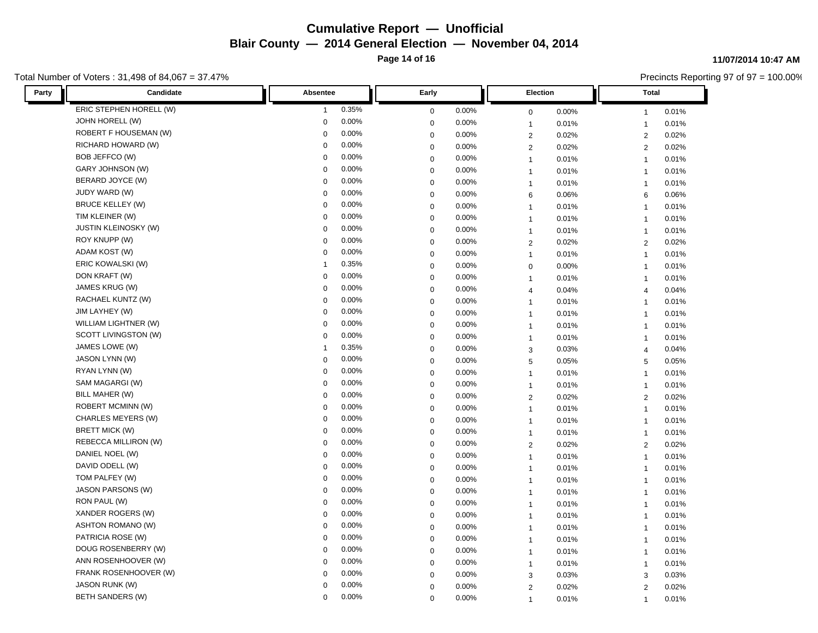**Page 14 of 16**

### Total Number of Voters : 31,498 of 84,067 = 37.47%

#### **11/07/2014 10:47 AM**

| Candidate<br>Party          | Absentee       | Early       | Election       | Total          |  |
|-----------------------------|----------------|-------------|----------------|----------------|--|
| ERIC STEPHEN HORELL (W)     | 0.35%          | 0.00%       | 0.00%          | 0.01%          |  |
|                             | $\overline{1}$ | $\mathbf 0$ | $\mathbf 0$    | $\mathbf{1}$   |  |
| JOHN HORELL (W)             | 0.00%          | 0.00%       | 0.01%          | 0.01%          |  |
|                             | 0              | $\mathbf 0$ | $\mathbf{1}$   | $\mathbf{1}$   |  |
| ROBERT F HOUSEMAN (W)       | 0.00%          | 0.00%       | $\overline{2}$ | 0.02%          |  |
|                             | 0              | $\mathbf 0$ | 0.02%          | $\overline{2}$ |  |
| RICHARD HOWARD (W)          | 0.00%          | 0.00%       | $\overline{2}$ | 0.02%          |  |
|                             | 0              | $\mathbf 0$ | 0.02%          | 2              |  |
| BOB JEFFCO (W)              | 0.00%          | 0.00%       | 0.01%          | 0.01%          |  |
|                             | 0              | $\mathbf 0$ | $\mathbf{1}$   | $\overline{1}$ |  |
| GARY JOHNSON (W)            | 0.00%          | 0.00%       | 0.01%          | 0.01%          |  |
|                             | 0              | $\mathbf 0$ | $\mathbf{1}$   | $\overline{1}$ |  |
| BERARD JOYCE (W)            | 0.00%          | 0.00%       | 0.01%          | 0.01%          |  |
|                             | 0              | $\mathbf 0$ | $\mathbf{1}$   | $\mathbf{1}$   |  |
| JUDY WARD (W)               | 0.00%          | $\mathbf 0$ | 6              | 0.06%          |  |
|                             | 0              | $0.00\%$    | 0.06%          | 6              |  |
| <b>BRUCE KELLEY (W)</b>     | 0.00%          | $\mathbf 0$ | 0.01%          | 0.01%          |  |
|                             | 0              | 0.00%       | $\mathbf{1}$   | $\mathbf{1}$   |  |
| TIM KLEINER (W)             | 0.00%          | 0.00%       | 0.01%          | 0.01%          |  |
|                             | 0              | $\mathbf 0$ | $\mathbf{1}$   | $\mathbf{1}$   |  |
| <b>JUSTIN KLEINOSKY (W)</b> | 0.00%          | 0.00%       | 0.01%          | 0.01%          |  |
|                             | 0              | $\mathbf 0$ | $\mathbf{1}$   | $\mathbf{1}$   |  |
| ROY KNUPP (W)               | 0.00%          | $\mathbf 0$ | 0.02%          | 0.02%          |  |
|                             | 0              | 0.00%       | $\overline{2}$ | 2              |  |
| ADAM KOST (W)               | 0.00%          | $\mathbf 0$ | 0.01%          | 0.01%          |  |
|                             | 0              | 0.00%       | $\mathbf{1}$   | $\mathbf{1}$   |  |
| ERIC KOWALSKI (W)           | 0.35%          | 0.00%       | 0.00%          | 0.01%          |  |
|                             | 1              | $\mathbf 0$ | $\mathbf 0$    | $\mathbf{1}$   |  |
| DON KRAFT (W)               | 0              | $\mathbf 0$ | 0.01%          | 0.01%          |  |
|                             | 0.00%          | 0.00%       | $\overline{1}$ | $\mathbf{1}$   |  |
| JAMES KRUG (W)              | 0.00%          | $\mathbf 0$ | 0.04%          | 0.04%          |  |
|                             | 0              | 0.00%       | $\overline{4}$ | $\overline{4}$ |  |
| RACHAEL KUNTZ (W)           | 0.00%          | 0.00%       | 0.01%          | 0.01%          |  |
|                             | 0              | $\mathbf 0$ | $\overline{1}$ | $\mathbf{1}$   |  |
| JIM LAYHEY (W)              | 0              | $\mathbf 0$ | 0.01%          | 0.01%          |  |
|                             | 0.00%          | 0.00%       | $\mathbf{1}$   | $\mathbf{1}$   |  |
| WILLIAM LIGHTNER (W)        | 0.00%          | $\mathbf 0$ | 0.01%          | 0.01%          |  |
|                             | 0              | 0.00%       | $\mathbf{1}$   | $\overline{1}$ |  |
| SCOTT LIVINGSTON (W)        | 0.00%          | 0.00%       | 0.01%          | 0.01%          |  |
|                             | 0              | $\mathbf 0$ | $\mathbf{1}$   | $\overline{1}$ |  |
| JAMES LOWE (W)              | 0.35%          | 0.00%       | 0.03%          | 0.04%          |  |
|                             | 1              | $\mathbf 0$ | 3              | $\overline{4}$ |  |
| JASON LYNN (W)              | 0.00%          | $\mathbf 0$ | $\sqrt{5}$     | 0.05%          |  |
|                             | 0              | 0.00%       | 0.05%          | 5              |  |
| RYAN LYNN (W)               | 0.00%          | $\mathbf 0$ | 0.01%          | 0.01%          |  |
|                             | 0              | 0.00%       | $\mathbf{1}$   | $\overline{1}$ |  |
| SAM MAGARGI (W)             | 0.00%          | $\mathbf 0$ | 0.01%          | 0.01%          |  |
|                             | 0              | 0.00%       | $\mathbf{1}$   | $\mathbf{1}$   |  |
| BILL MAHER (W)              | 0.00%          | $\mathbf 0$ | $\overline{2}$ | 0.02%          |  |
|                             | 0              | 0.00%       | 0.02%          | $\overline{2}$ |  |
| <b>ROBERT MCMINN (W)</b>    | 0.00%          | 0.00%       | 0.01%          | 0.01%          |  |
|                             | 0              | $\mathbf 0$ | $\overline{1}$ | $\mathbf{1}$   |  |
| CHARLES MEYERS (W)          | 0.00%          | $\mathbf 0$ | 0.01%          | 0.01%          |  |
|                             | 0              | 0.00%       | $\mathbf{1}$   | $\mathbf{1}$   |  |
| BRETT MICK (W)              | 0.00%          | 0.00%       | $\mathbf{1}$   | 0.01%          |  |
|                             | 0              | $\mathbf 0$ | 0.01%          | $\mathbf{1}$   |  |
| REBECCA MILLIRON (W)        | 0.00%          | 0.00%       | 0.02%          | 0.02%          |  |
|                             | 0              | $\mathbf 0$ | $\overline{2}$ | $\overline{2}$ |  |
| DANIEL NOEL (W)             | 0.00%          | 0.00%       | 0.01%          | 0.01%          |  |
|                             | 0              | $\mathbf 0$ | $\mathbf{1}$   | $\overline{1}$ |  |
| DAVID ODELL (W)             | 0.00%          | 0.00%       | 0.01%          | 0.01%          |  |
|                             | 0              | $\mathbf 0$ | $\mathbf{1}$   | $\overline{1}$ |  |
| TOM PALFEY (W)              | 0.00%          | 0.00%       | 0.01%          | 0.01%          |  |
|                             | 0              | $\mathbf 0$ | $\mathbf{1}$   | $\mathbf{1}$   |  |
| JASON PARSONS (W)           | 0.00%          | $\mathbf 0$ | 0.01%          | 0.01%          |  |
|                             | 0              | 0.00%       | $\mathbf{1}$   | $\overline{1}$ |  |
| RON PAUL (W)                | 0.00%          | $\mathbf 0$ | 0.01%          | 0.01%          |  |
|                             | 0              | 0.00%       | $\mathbf{1}$   | $\mathbf{1}$   |  |
| XANDER ROGERS (W)           | 0.00%          | 0.00%       | 0.01%          | 0.01%          |  |
|                             | 0              | $\mathbf 0$ | $\mathbf{1}$   | $\mathbf{1}$   |  |
| <b>ASHTON ROMANO (W)</b>    | 0.00%          | $\mathbf 0$ | 0.01%          | 0.01%          |  |
|                             | 0              | 0.00%       | $\mathbf{1}$   | $\mathbf{1}$   |  |
| PATRICIA ROSE (W)           | 0.00%          | $\mathbf 0$ | 0.01%          | 0.01%          |  |
|                             | 0              | 0.00%       | $\mathbf{1}$   | $\mathbf{1}$   |  |
| DOUG ROSENBERRY (W)         | 0.00%          | 0.00%       | 0.01%          | 0.01%          |  |
|                             | 0              | $\mathbf 0$ | $\mathbf{1}$   | $\overline{1}$ |  |
| ANN ROSENHOOVER (W)         | 0.00%          | $\mathbf 0$ | 0.01%          | 0.01%          |  |
|                             | 0              | 0.00%       | $\mathbf{1}$   | $\mathbf{1}$   |  |
| FRANK ROSENHOOVER (W)       | 0.00%          | $\mathbf 0$ | $\sqrt{3}$     | 0.03%          |  |
|                             | $\mathbf 0$    | 0.00%       | 0.03%          | 3              |  |
| <b>JASON RUNK (W)</b>       | 0.00%          | 0.00%       | 0.02%          | 0.02%          |  |
|                             | 0              | $\Omega$    | $\overline{2}$ | 2              |  |
| BETH SANDERS (W)            | 0.00%          | 0.00%       | 0.01%          | 0.01%          |  |
|                             | 0              | $\Omega$    | $\mathbf{1}$   | $\overline{1}$ |  |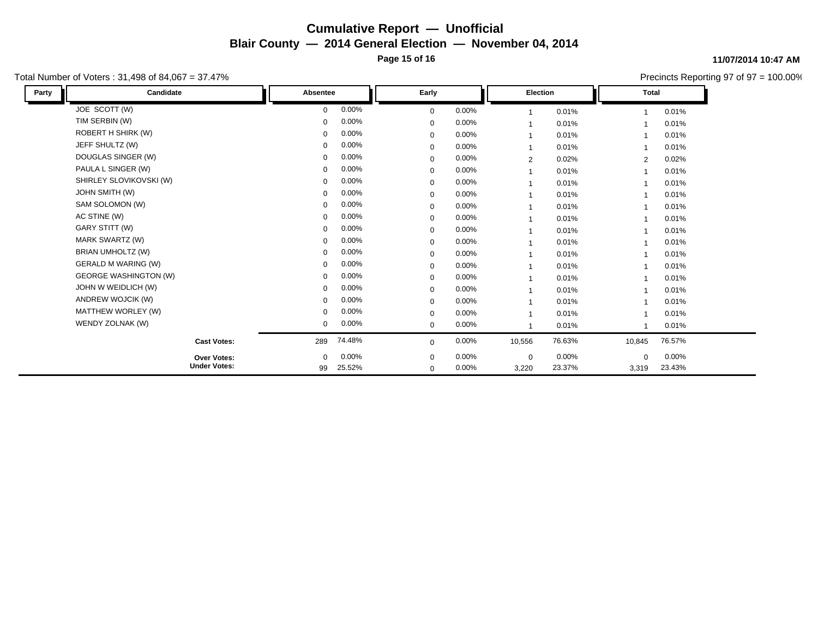**Page 15 of 16**

### Total Number of Voters : 31,498 of 84,067 = 37.47%

#### **11/07/2014 10:47 AM**

| Party | Candidate                    | Absentee     |          | Early        |          | <b>Election</b>          |        | <b>Total</b> |        |
|-------|------------------------------|--------------|----------|--------------|----------|--------------------------|--------|--------------|--------|
|       | JOE SCOTT (W)                | $\Omega$     | 0.00%    | $\mathbf{0}$ | 0.00%    |                          | 0.01%  |              | 0.01%  |
|       | TIM SERBIN (W)               | $\mathbf 0$  | 0.00%    | $\Omega$     | 0.00%    |                          | 0.01%  |              | 0.01%  |
|       | ROBERT H SHIRK (W)           | $\mathbf 0$  | 0.00%    | $\mathbf 0$  | 0.00%    | $\overline{\phantom{a}}$ | 0.01%  |              | 0.01%  |
|       | JEFF SHULTZ (W)              | $\mathbf 0$  | 0.00%    | $\mathbf 0$  | 0.00%    | $\overline{1}$           | 0.01%  |              | 0.01%  |
|       | DOUGLAS SINGER (W)           | $\mathbf 0$  | 0.00%    | $\mathbf 0$  | 0.00%    | $\overline{2}$           | 0.02%  | 2            | 0.02%  |
|       | PAULA L SINGER (W)           | $\mathbf 0$  | 0.00%    | $\mathbf{0}$ | 0.00%    | $\overline{1}$           | 0.01%  |              | 0.01%  |
|       | SHIRLEY SLOVIKOVSKI (W)      | $\mathbf 0$  | 0.00%    | $\mathbf 0$  | 0.00%    | $\overline{1}$           | 0.01%  |              | 0.01%  |
|       | JOHN SMITH (W)               | $\mathbf 0$  | 0.00%    | $\mathbf 0$  | 0.00%    | $\overline{1}$           | 0.01%  |              | 0.01%  |
|       | SAM SOLOMON (W)              | $\mathbf 0$  | 0.00%    | $\mathbf 0$  | 0.00%    | $\overline{\phantom{a}}$ | 0.01%  |              | 0.01%  |
|       | AC STINE (W)                 | $\mathbf 0$  | 0.00%    | $\mathbf 0$  | $0.00\%$ | $\overline{\phantom{a}}$ | 0.01%  |              | 0.01%  |
|       | GARY STITT (W)               | $\mathbf 0$  | 0.00%    | $\mathbf 0$  | 0.00%    | $\overline{\phantom{a}}$ | 0.01%  |              | 0.01%  |
|       | MARK SWARTZ (W)              | $\mathbf 0$  | 0.00%    | $\mathbf 0$  | $0.00\%$ | 1                        | 0.01%  |              | 0.01%  |
|       | BRIAN UMHOLTZ (W)            | $\mathbf 0$  | $0.00\%$ | $\mathbf 0$  | 0.00%    | $\overline{\phantom{a}}$ | 0.01%  |              | 0.01%  |
|       | <b>GERALD M WARING (W)</b>   | $\mathbf 0$  | 0.00%    | $\mathbf{0}$ | 0.00%    | $\overline{1}$           | 0.01%  |              | 0.01%  |
|       | <b>GEORGE WASHINGTON (W)</b> | 0            | 0.00%    | $\mathbf 0$  | $0.00\%$ | $\overline{1}$           | 0.01%  |              | 0.01%  |
|       | JOHN W WEIDLICH (W)          | $\mathbf 0$  | 0.00%    | 0            | $0.00\%$ | -1                       | 0.01%  |              | 0.01%  |
|       | ANDREW WOJCIK (W)            | $\Omega$     | 0.00%    | $\mathbf{0}$ | 0.00%    | -1                       | 0.01%  |              | 0.01%  |
|       | MATTHEW WORLEY (W)           | $\mathbf 0$  | 0.00%    | $\mathbf 0$  | 0.00%    | $\overline{\phantom{a}}$ | 0.01%  |              | 0.01%  |
|       | WENDY ZOLNAK (W)             | $\mathbf 0$  | 0.00%    | $\mathbf 0$  | 0.00%    |                          | 0.01%  |              | 0.01%  |
|       | <b>Cast Votes:</b>           | 289          | 74.48%   | $\mathbf 0$  | 0.00%    | 10,556                   | 76.63% | 10,845       | 76.57% |
|       | Over Votes:                  | $\mathbf{0}$ | 0.00%    | $\mathbf{0}$ | 0.00%    | $\mathbf 0$              | 0.00%  | $\mathbf 0$  | 0.00%  |
|       | <b>Under Votes:</b>          | 99           | 25.52%   | $\mathbf 0$  | 0.00%    | 3,220                    | 23.37% | 3,319        | 23.43% |